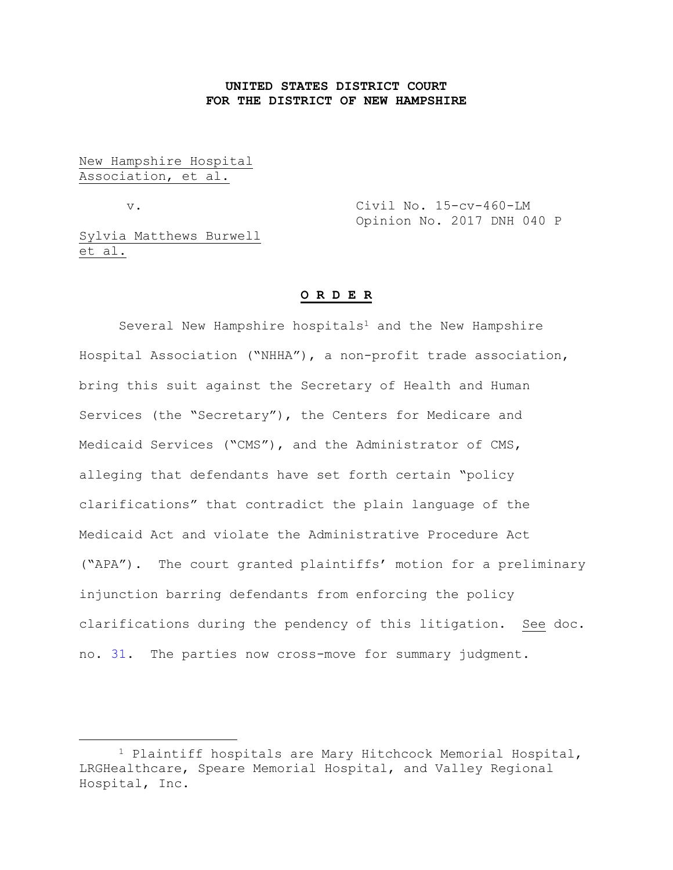# **UNITED STATES DISTRICT COURT FOR THE DISTRICT OF NEW HAMPSHIRE**

New Hampshire Hospital Association, et al.

a<br>B

v. Civil No. 15-cv-460-LM Opinion No. 2017 DNH 040 P

Sylvia Matthews Burwell et al.

# **O R D E R**

Several New Hampshire hospitals<sup>1</sup> and the New Hampshire Hospital Association ("NHHA"), a non-profit trade association, bring this suit against the Secretary of Health and Human Services (the "Secretary"), the Centers for Medicare and Medicaid Services ("CMS"), and the Administrator of CMS, alleging that defendants have set forth certain "policy clarifications" that contradict the plain language of the Medicaid Act and violate the Administrative Procedure Act ("APA"). The court granted plaintiffs' motion for a preliminary injunction barring defendants from enforcing the policy clarifications during the pendency of this litigation. See doc. no. [31.](https://ecf.nhd.uscourts.gov/doc1/11711694608) The parties now cross-move for summary judgment.

<sup>1</sup> Plaintiff hospitals are Mary Hitchcock Memorial Hospital, LRGHealthcare, Speare Memorial Hospital, and Valley Regional Hospital, Inc.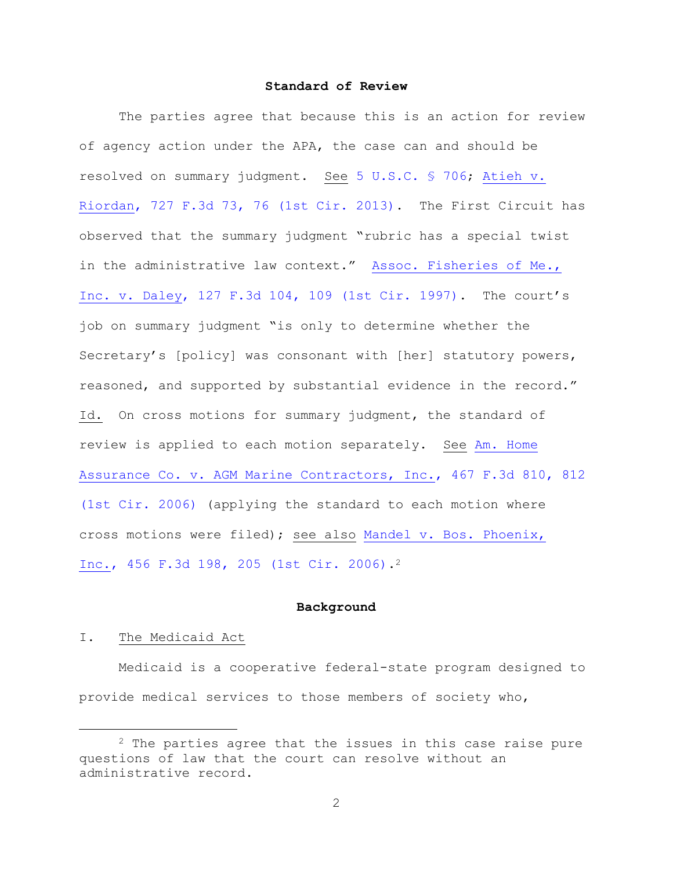# **Standard of Review**

The parties agree that because this is an action for review of agency action under the APA, the case can and should be resolved on summary judgment. See [5 U.S.C. § 706;](https://www.westlaw.com/Document/NB66076C0A84311D885E288E02FD16EE7/View/FullText.html?transitionType=Default&contextData=(sc.Default)&VR=3.0&RS=da3.0) [Atieh v.](https://www.westlaw.com/Document/I44c9e2b3dcbc11e2a160cacff148223f/View/FullText.html?transitionType=Default&contextData=(sc.Default)&VR=3.0&RS=da3.0&fragmentIdentifier=co_pp_sp_506_76)  [Riordan, 727 F.3d 73, 76 \(1st Cir. 2013\).](https://www.westlaw.com/Document/I44c9e2b3dcbc11e2a160cacff148223f/View/FullText.html?transitionType=Default&contextData=(sc.Default)&VR=3.0&RS=da3.0&fragmentIdentifier=co_pp_sp_506_76) The First Circuit has observed that the summary judgment "rubric has a special twist in the administrative law context." [Assoc. Fisheries of Me.,](https://www.westlaw.com/Document/I2fbbbbb1942a11d993e6d35cc61aab4a/View/FullText.html?transitionType=Default&contextData=(sc.Default)&VR=3.0&RS=da3.0&fragmentIdentifier=co_pp_sp_506_109)  [Inc. v. Daley, 127 F.3d 104, 109 \(1st Cir. 1997\).](https://www.westlaw.com/Document/I2fbbbbb1942a11d993e6d35cc61aab4a/View/FullText.html?transitionType=Default&contextData=(sc.Default)&VR=3.0&RS=da3.0&fragmentIdentifier=co_pp_sp_506_109) The court's job on summary judgment "is only to determine whether the Secretary's [policy] was consonant with [her] statutory powers, reasoned, and supported by substantial evidence in the record." Id. On cross motions for summary judgment, the standard of review is applied to each motion separately. See [Am. Home](https://www.westlaw.com/Document/I94cb3ffc6f7011db8af7b21dc878c125/View/FullText.html?transitionType=Default&contextData=(sc.Default)&VR=3.0&RS=da3.0&fragmentIdentifier=co_pp_sp_506_812)  [Assurance Co. v. AGM Marine Contractors, Inc., 467 F.3d 810, 812](https://www.westlaw.com/Document/I94cb3ffc6f7011db8af7b21dc878c125/View/FullText.html?transitionType=Default&contextData=(sc.Default)&VR=3.0&RS=da3.0&fragmentIdentifier=co_pp_sp_506_812)  [\(1st Cir. 2006\)](https://www.westlaw.com/Document/I94cb3ffc6f7011db8af7b21dc878c125/View/FullText.html?transitionType=Default&contextData=(sc.Default)&VR=3.0&RS=da3.0&fragmentIdentifier=co_pp_sp_506_812) (applying the standard to each motion where cross motions were filed); see also [Mandel v. Bos. Phoenix,](https://www.westlaw.com/Document/I040206f0232711dbbffafa490ee528f6/View/FullText.html?transitionType=Default&contextData=(sc.Default)&VR=3.0&RS=da3.0&fragmentIdentifier=co_pp_sp_506_205)  [Inc., 456 F.3d 198, 205 \(1st Cir. 2006\).](https://www.westlaw.com/Document/I040206f0232711dbbffafa490ee528f6/View/FullText.html?transitionType=Default&contextData=(sc.Default)&VR=3.0&RS=da3.0&fragmentIdentifier=co_pp_sp_506_205)<sup>2</sup>

### **Background**

# I. The Medicaid Act

a<br>B

Medicaid is a cooperative federal-state program designed to provide medical services to those members of society who,

<sup>&</sup>lt;sup>2</sup> The parties agree that the issues in this case raise pure questions of law that the court can resolve without an administrative record.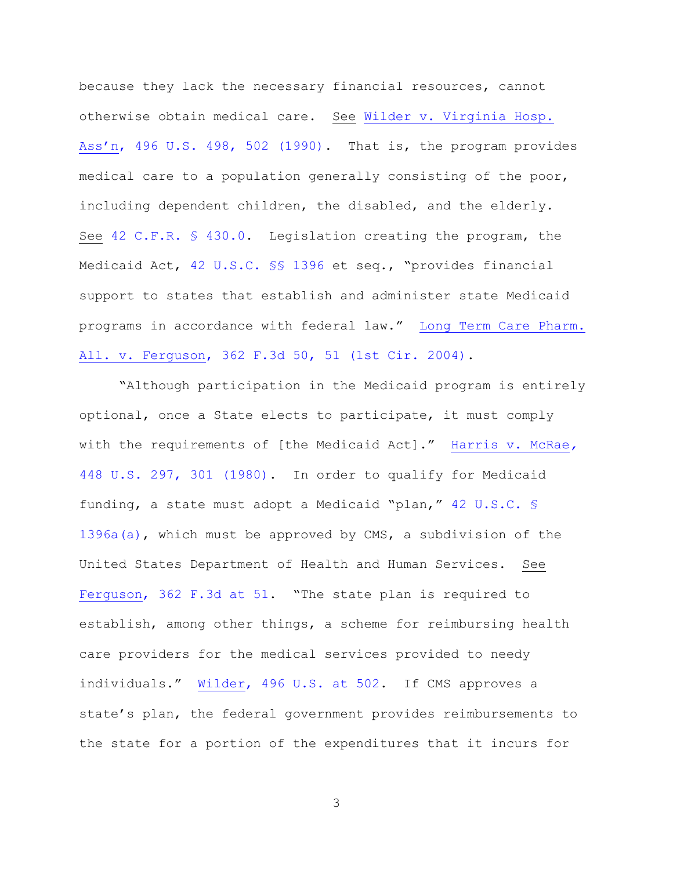because they lack the necessary financial resources, cannot otherwise obtain medical care. See [Wilder v. Virginia Hosp.](https://www.westlaw.com/Document/Ieee7df189c8f11d993e6d35cc61aab4a/View/FullText.html?transitionType=Default&contextData=(sc.Default)&VR=3.0&RS=da3.0&fragmentIdentifier=co_pp_sp_780_502)  Ass'n[, 496 U.S. 498, 502 \(1990\).](https://www.westlaw.com/Document/Ieee7df189c8f11d993e6d35cc61aab4a/View/FullText.html?transitionType=Default&contextData=(sc.Default)&VR=3.0&RS=da3.0&fragmentIdentifier=co_pp_sp_780_502) That is, the program provides medical care to a population generally consisting of the poor, including dependent children, the disabled, and the elderly. See [42 C.F.R. § 430.0.](https://www.westlaw.com/Document/NAABF5D7090A211D9BFF1B50ADEE8BDB2/View/FullText.html?transitionType=Default&contextData=(sc.Default)&VR=3.0&RS=da3.0) Legislation creating the program, the Medicaid Act, [42 U.S.C. §§ 1396](https://www.westlaw.com/Document/N45F5EBA0CED411E390BDFA5506127862/View/FullText.html?transitionType=Default&contextData=(sc.Default)&VR=3.0&RS=da3.0) et seq., "provides financial support to states that establish and administer state Medicaid programs in accordance with federal law." [Long Term Care Pharm.](https://www.westlaw.com/Document/I7d856b8289fc11d98b51ba734bfc3c79/View/FullText.html?transitionType=Default&contextData=(sc.Default)&VR=3.0&RS=da3.0&fragmentIdentifier=co_pp_sp_506_51)  [All. v. Ferguson, 362 F.3d 50, 51 \(1st Cir. 2004\).](https://www.westlaw.com/Document/I7d856b8289fc11d98b51ba734bfc3c79/View/FullText.html?transitionType=Default&contextData=(sc.Default)&VR=3.0&RS=da3.0&fragmentIdentifier=co_pp_sp_506_51)

"Although participation in the Medicaid program is entirely optional, once a State elects to participate, it must comply with the requirements of [the Medicaid Act]." [Harris v. McRae](https://www.westlaw.com/Link/Document/FullText?cite=448US297&VR=3.0&RS=da3.0)*,* [448 U.S. 297, 301 \(1980\).](https://www.westlaw.com/Link/Document/FullText?cite=448US297&VR=3.0&RS=da3.0) In order to qualify for Medicaid funding, a state must adopt a Medicaid "plan," [42 U.S.C. §](https://www.westlaw.com/Document/NB9BE7C50D74611E6A4A2A2EBD71A22AE/View/FullText.html?transitionType=Default&contextData=(sc.Default)&VR=3.0&RS=da3.0)  [1396a\(a\),](https://www.westlaw.com/Document/NB9BE7C50D74611E6A4A2A2EBD71A22AE/View/FullText.html?transitionType=Default&contextData=(sc.Default)&VR=3.0&RS=da3.0) which must be approved by CMS, a subdivision of the United States Department of Health and Human Services. See [Ferguson, 362 F.3d at 51.](https://www.westlaw.com/Document/I7d856b8289fc11d98b51ba734bfc3c79/View/FullText.html?transitionType=Default&contextData=(sc.Default)&VR=3.0&RS=da3.0&fragmentIdentifier=co_pp_sp_506_51) "The state plan is required to establish, among other things, a scheme for reimbursing health care providers for the medical services provided to needy individuals." [Wilder, 496 U.S. at 502.](https://www.westlaw.com/Document/Ieee7df189c8f11d993e6d35cc61aab4a/View/FullText.html?transitionType=Default&contextData=(sc.Default)&VR=3.0&RS=da3.0&fragmentIdentifier=co_pp_sp_780_502) If CMS approves a state's plan, the federal government provides reimbursements to the state for a portion of the expenditures that it incurs for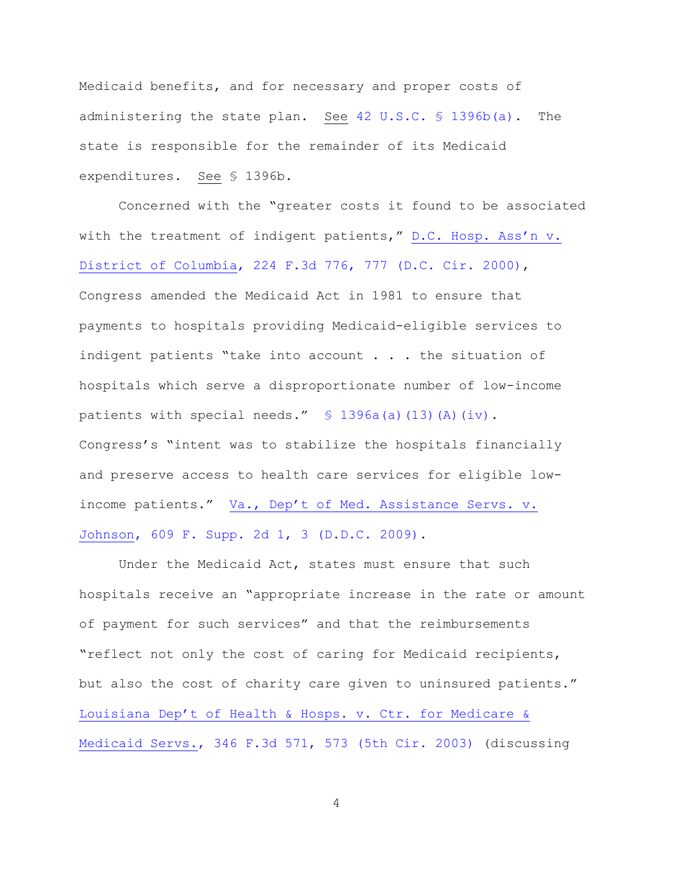Medicaid benefits, and for necessary and proper costs of administering the state plan. See [42 U.S.C. § 1396b\(a\).](https://www.westlaw.com/Document/N6D110620D37711E69D578AB4B2C87682/View/FullText.html?transitionType=Default&contextData=(sc.Default)&VR=3.0&RS=da3.0) The state is responsible for the remainder of its Medicaid expenditures. See § 1396b.

Concerned with the "greater costs it found to be associated with the treatment of indigent patients," [D.C. Hosp. Ass'n v.](https://www.westlaw.com/Document/If3966a81798611d9ac1ffa9f33b6c3b0/View/FullText.html?transitionType=Default&contextData=(sc.Default)&VR=3.0&RS=da3.0&fragmentIdentifier=co_pp_sp_506_777)  [District of Columbia, 224 F.3d 776, 777 \(D.C. Cir. 2000\),](https://www.westlaw.com/Document/If3966a81798611d9ac1ffa9f33b6c3b0/View/FullText.html?transitionType=Default&contextData=(sc.Default)&VR=3.0&RS=da3.0&fragmentIdentifier=co_pp_sp_506_777) Congress amended the Medicaid Act in 1981 to ensure that payments to hospitals providing Medicaid-eligible services to indigent patients "take into account . . . the situation of hospitals which serve a disproportionate number of low-income patients with special needs."  $\frac{1}{2}$  1396a(a)(13)(A)(iv). Congress's "intent was to stabilize the hospitals financially and preserve access to health care services for eligible lowincome patients." [Va., Dep't of Med. Assistance Servs. v.](https://www.westlaw.com/Document/I34c03ad51a0711deb77d9846f86fae5c/View/FullText.html?transitionType=Default&contextData=(sc.Default)&VR=3.0&RS=da3.0&fragmentIdentifier=co_pp_sp_4637_3)  [Johnson, 609 F. Supp. 2d 1, 3 \(D.D.C. 2009\).](https://www.westlaw.com/Document/I34c03ad51a0711deb77d9846f86fae5c/View/FullText.html?transitionType=Default&contextData=(sc.Default)&VR=3.0&RS=da3.0&fragmentIdentifier=co_pp_sp_4637_3)

Under the Medicaid Act, states must ensure that such hospitals receive an "appropriate increase in the rate or amount of payment for such services" and that the reimbursements "reflect not only the cost of caring for Medicaid recipients, but also the cost of charity care given to uninsured patients." [Louisiana Dep't of Health & Hosps. v. Ctr. for Medicare &](https://www.westlaw.com/Document/Ibb211e5989eb11d9903eeb4634b8d78e/View/FullText.html?transitionType=Default&contextData=(sc.Default)&VR=3.0&RS=da3.0&fragmentIdentifier=co_pp_sp_506_573)  [Medicaid Servs., 346 F.3d 571, 573 \(5th Cir. 2003\)](https://www.westlaw.com/Document/Ibb211e5989eb11d9903eeb4634b8d78e/View/FullText.html?transitionType=Default&contextData=(sc.Default)&VR=3.0&RS=da3.0&fragmentIdentifier=co_pp_sp_506_573) (discussing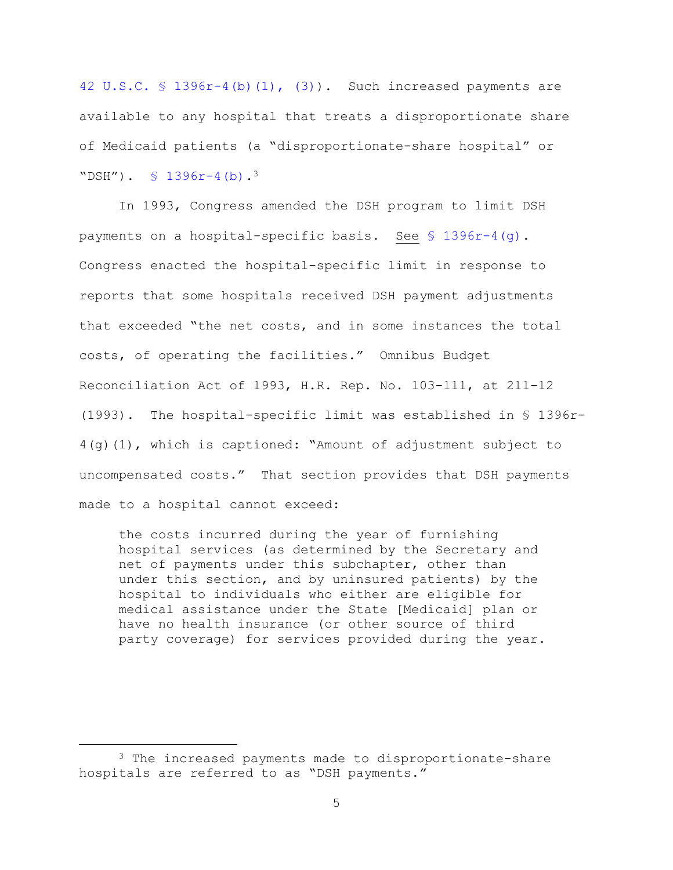[42 U.S.C. § 1396r-4\(b\)\(1\), \(3\)\)](https://1.next.westlaw.com/Document/N64C74970616811E09FB2FD5507589641/View/FullText.html?navigationPath=Search%2Fv3%2Fsearch%2Fresults%2Fnavigation%2Fi0ad6ad3e0000015a90a612820ab2d692%3FNav%3DMULTIPLECITATIONS%26fragmentIdentifier%3DN64C74970616811E09FB2FD5507589641%26startIndex%3D1%26contextData%3D%2528sc.Search%2529%26transitionType%3DUniqueDocItem&listSource=Search&listPageSource=c9dd34f870889c79d5f6dd29bf33de4c&list=MULTIPLECITATIONS&rank=0&sessionScopeId=979187f5fd15c7b73e5badd9f9c76f2899c5cee384419eb546a00be8bf4bc790&originationContext=NonUniqueFindSelected&transitionType=UniqueDocItem&contextData=%28sc.Search%29). Such increased payments are available to any hospital that treats a disproportionate share of Medicaid patients (a "disproportionate-share hospital" or "DSH").  $\frac{1396r-4}{b}$ .<sup>3</sup>

In 1993, Congress amended the DSH program to limit DSH payments on a hospital-specific basis. See [§ 1396r-4\(g\).](https://1.next.westlaw.com/Document/N64C74970616811E09FB2FD5507589641/View/FullText.html?navigationPath=Search%2Fv3%2Fsearch%2Fresults%2Fnavigation%2Fi0ad6ad3e0000015a90a612820ab2d692%3FNav%3DMULTIPLECITATIONS%26fragmentIdentifier%3DN64C74970616811E09FB2FD5507589641%26startIndex%3D1%26contextData%3D%2528sc.Search%2529%26transitionType%3DUniqueDocItem&listSource=Search&listPageSource=c9dd34f870889c79d5f6dd29bf33de4c&list=MULTIPLECITATIONS&rank=0&sessionScopeId=979187f5fd15c7b73e5badd9f9c76f2899c5cee384419eb546a00be8bf4bc790&originationContext=NonUniqueFindSelected&transitionType=UniqueDocItem&contextData=%28sc.Search%29) Congress enacted the hospital-specific limit in response to reports that some hospitals received DSH payment adjustments that exceeded "the net costs, and in some instances the total costs, of operating the facilities." Omnibus Budget Reconciliation Act of 1993, H.R. Rep. No. 103-111, at 211–12 (1993). The hospital-specific limit was established in § 1396r-4(g)(1), which is captioned: "Amount of adjustment subject to uncompensated costs." That section provides that DSH payments made to a hospital cannot exceed:

the costs incurred during the year of furnishing hospital services (as determined by the Secretary and net of payments under this subchapter, other than under this section, and by uninsured patients) by the hospital to individuals who either are eligible for medical assistance under the State [Medicaid] plan or have no health insurance (or other source of third party coverage) for services provided during the year.

<sup>3</sup> The increased payments made to disproportionate-share hospitals are referred to as "DSH payments."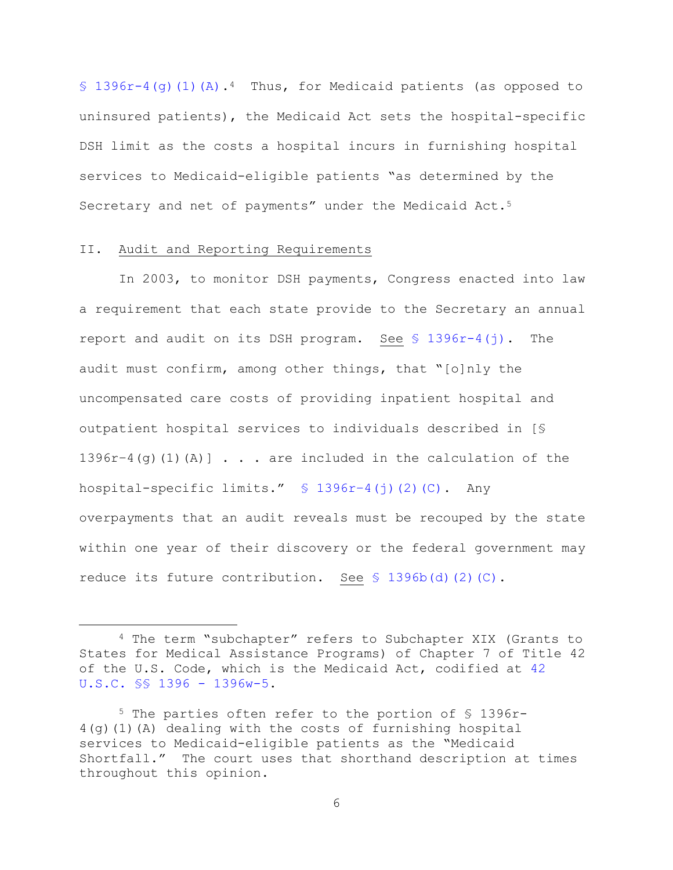[§ 1396r-4\(g\)\(1\)\(A\).](https://1.next.westlaw.com/Document/N64C74970616811E09FB2FD5507589641/View/FullText.html?navigationPath=Search%2Fv3%2Fsearch%2Fresults%2Fnavigation%2Fi0ad6ad3e0000015a90a612820ab2d692%3FNav%3DMULTIPLECITATIONS%26fragmentIdentifier%3DN64C74970616811E09FB2FD5507589641%26startIndex%3D1%26contextData%3D%2528sc.Search%2529%26transitionType%3DUniqueDocItem&listSource=Search&listPageSource=c9dd34f870889c79d5f6dd29bf33de4c&list=MULTIPLECITATIONS&rank=0&sessionScopeId=979187f5fd15c7b73e5badd9f9c76f2899c5cee384419eb546a00be8bf4bc790&originationContext=NonUniqueFindSelected&transitionType=UniqueDocItem&contextData=%28sc.Search%29)<sup>4</sup> Thus, for Medicaid patients (as opposed to uninsured patients), the Medicaid Act sets the hospital-specific DSH limit as the costs a hospital incurs in furnishing hospital services to Medicaid-eligible patients "as determined by the Secretary and net of payments" under the Medicaid Act.<sup>5</sup>

## II. Audit and Reporting Requirements

a<br>B

In 2003, to monitor DSH payments, Congress enacted into law a requirement that each state provide to the Secretary an annual report and audit on its DSH program. See  $\frac{1396r-4}{j}$ . The audit must confirm, among other things, that "[o]nly the uncompensated care costs of providing inpatient hospital and outpatient hospital services to individuals described in [§  $1396r-4$  (g) (1) (A)]  $\ldots$  are included in the calculation of the hospital-specific limits." § 1396r–[4\(j\)\(2\)\(C\).](https://1.next.westlaw.com/Document/N64C74970616811E09FB2FD5507589641/View/FullText.html?navigationPath=Search%2Fv3%2Fsearch%2Fresults%2Fnavigation%2Fi0ad6ad3e0000015a90a612820ab2d692%3FNav%3DMULTIPLECITATIONS%26fragmentIdentifier%3DN64C74970616811E09FB2FD5507589641%26startIndex%3D1%26contextData%3D%2528sc.Search%2529%26transitionType%3DUniqueDocItem&listSource=Search&listPageSource=c9dd34f870889c79d5f6dd29bf33de4c&list=MULTIPLECITATIONS&rank=0&sessionScopeId=979187f5fd15c7b73e5badd9f9c76f2899c5cee384419eb546a00be8bf4bc790&originationContext=NonUniqueFindSelected&transitionType=UniqueDocItem&contextData=%28sc.Search%29) Any overpayments that an audit reveals must be recouped by the state within one year of their discovery or the federal government may reduce its future contribution. See  $S$  1396b(d)(2)(C).

<sup>4</sup> The term "subchapter" refers to Subchapter XIX (Grants to States for Medical Assistance Programs) of Chapter 7 of Title 42 of the U.S. Code, which is the Medicaid Act, codified at [42](https://www.westlaw.com/Document/N45F5EBA0CED411E390BDFA5506127862/View/FullText.html?transitionType=Default&contextData=(sc.Default)&VR=3.0&RS=da3.0)  [U.S.C. §§ 1396 -](https://www.westlaw.com/Document/N45F5EBA0CED411E390BDFA5506127862/View/FullText.html?transitionType=Default&contextData=(sc.Default)&VR=3.0&RS=da3.0) 1396w-5.

<sup>5</sup> The parties often refer to the portion of § 1396r-4(g)(1)(A) dealing with the costs of furnishing hospital services to Medicaid-eligible patients as the "Medicaid Shortfall." The court uses that shorthand description at times throughout this opinion.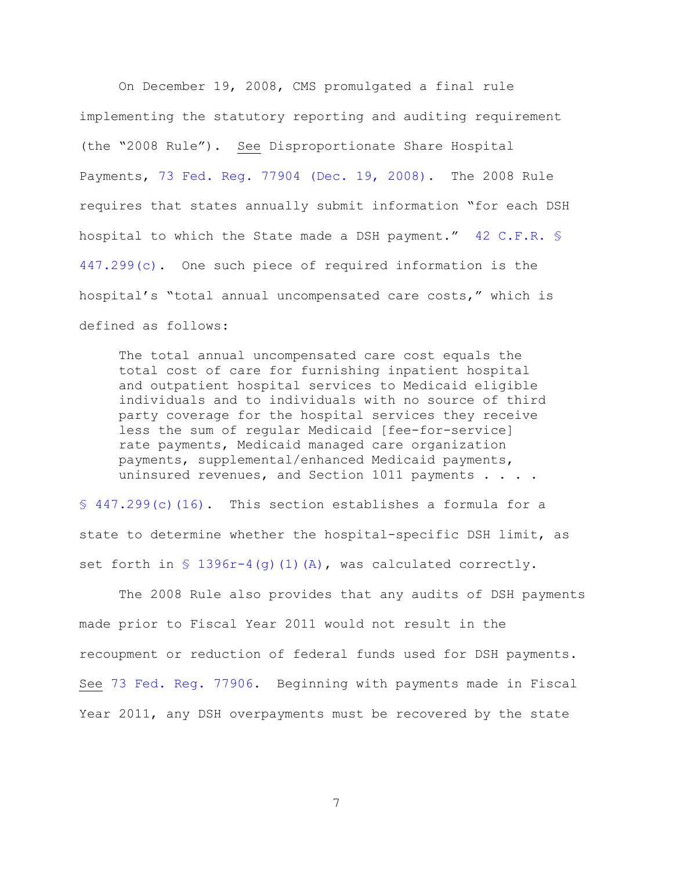On December 19, 2008, CMS promulgated a final rule implementing the statutory reporting and auditing requirement (the "2008 Rule"). See Disproportionate Share Hospital Payments, [73 Fed. Reg. 77904 \(Dec. 19, 2008\).](https://www.westlaw.com/Document/I9CB1DD20CDC011DD9F11ED401CBBBEC8/View/FullText.html?transitionType=Default&contextData=(sc.Default)&VR=3.0&RS=da3.0) The 2008 Rule requires that states annually submit information "for each DSH hospital to which the State made a DSH payment." [42 C.F.R. §](https://www.westlaw.com/Document/NF302DB51508511E3AEF7D1036AD3B754/View/FullText.html?transitionType=Default&contextData=(sc.Default)&VR=3.0&RS=da3.0)  [447.299\(c\).](https://www.westlaw.com/Document/NF302DB51508511E3AEF7D1036AD3B754/View/FullText.html?transitionType=Default&contextData=(sc.Default)&VR=3.0&RS=da3.0) One such piece of required information is the hospital's "total annual uncompensated care costs," which is defined as follows:

The total annual uncompensated care cost equals the total cost of care for furnishing inpatient hospital and outpatient hospital services to Medicaid eligible individuals and to individuals with no source of third party coverage for the hospital services they receive less the sum of regular Medicaid [fee-for-service] rate payments, Medicaid managed care organization payments, supplemental/enhanced Medicaid payments, uninsured revenues, and Section 1011 payments . . . .

[§ 447.299\(c\)\(16\).](https://www.westlaw.com/Document/NF302DB51508511E3AEF7D1036AD3B754/View/FullText.html?transitionType=Default&contextData=(sc.Default)&VR=3.0&RS=da3.0) This section establishes a formula for a state to determine whether the hospital-specific DSH limit, as set forth in  $\{$  1396r-4(q)(1)(A), was calculated correctly.

The 2008 Rule also provides that any audits of DSH payments made prior to Fiscal Year 2011 would not result in the recoupment or reduction of federal funds used for DSH payments. See [73 Fed. Reg. 77906.](https://www.westlaw.com/Document/I9CB1DD20CDC011DD9F11ED401CBBBEC8/View/FullText.html?transitionType=Default&contextData=(sc.Default)&VR=3.0&RS=da3.0) Beginning with payments made in Fiscal Year 2011, any DSH overpayments must be recovered by the state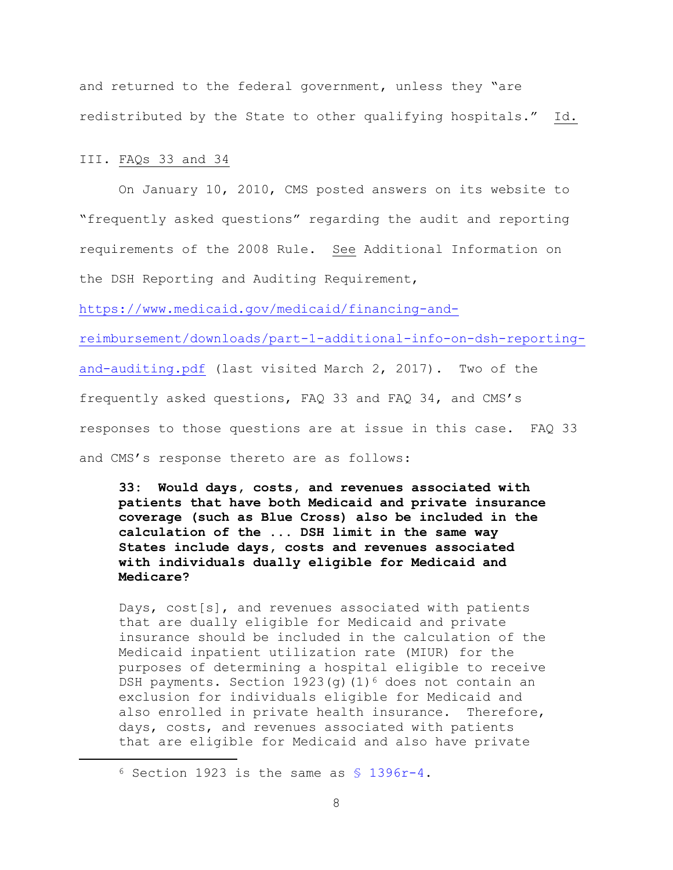and returned to the federal government, unless they "are redistributed by the State to other qualifying hospitals." Id.

III. FAQs 33 and 34

a<br>B

On January 10, 2010, CMS posted answers on its website to "frequently asked questions" regarding the audit and reporting requirements of the 2008 Rule. See Additional Information on the DSH Reporting and Auditing Requirement,

[https://www.medicaid.gov/medicaid/financing-and-](https://www.medicaid.gov/medicaid/financing-and-reimbursement/downloads/part-1-additional-info-on-dsh-reporting-and-auditing.pdf)

[reimbursement/downloads/part-1-additional-info-on-dsh-reporting-](https://www.medicaid.gov/medicaid/financing-and-reimbursement/downloads/part-1-additional-info-on-dsh-reporting-and-auditing.pdf)

[and-auditing.pdf](https://www.medicaid.gov/medicaid/financing-and-reimbursement/downloads/part-1-additional-info-on-dsh-reporting-and-auditing.pdf) (last visited March 2, 2017). Two of the

frequently asked questions, FAQ 33 and FAQ 34, and CMS's

responses to those questions are at issue in this case. FAQ 33

and CMS's response thereto are as follows:

**33: Would days, costs, and revenues associated with patients that have both Medicaid and private insurance coverage (such as Blue Cross) also be included in the calculation of the ... DSH limit in the same way States include days, costs and revenues associated with individuals dually eligible for Medicaid and Medicare?**

Days, cost[s], and revenues associated with patients that are dually eligible for Medicaid and private insurance should be included in the calculation of the Medicaid inpatient utilization rate (MIUR) for the purposes of determining a hospital eligible to receive DSH payments. Section  $1923(q)$  (1)<sup>6</sup> does not contain an exclusion for individuals eligible for Medicaid and also enrolled in private health insurance. Therefore, days, costs, and revenues associated with patients that are eligible for Medicaid and also have private

 $6$  Section 1923 is the same as  $$$  1396r-4.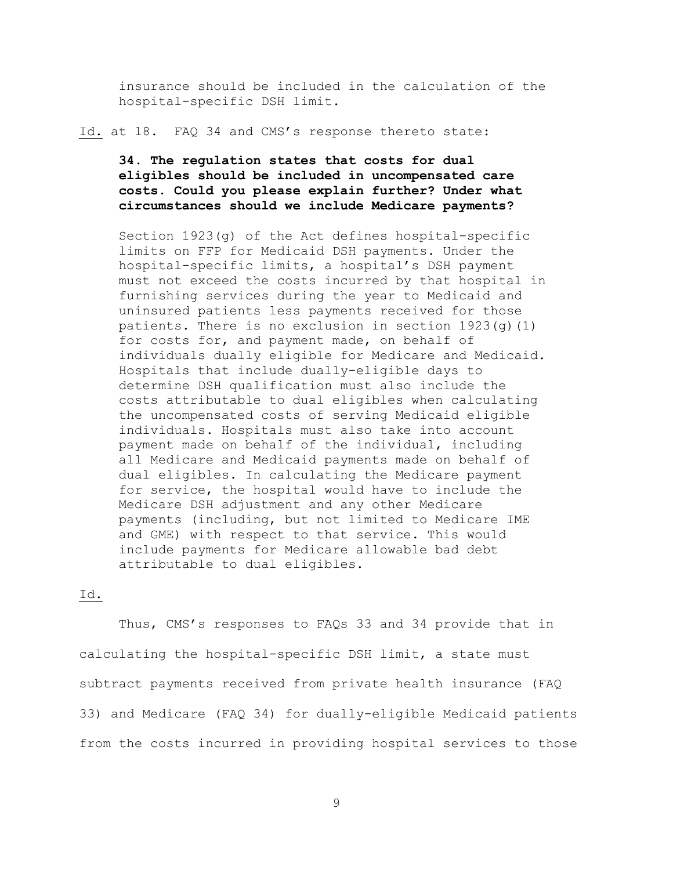insurance should be included in the calculation of the hospital-specific DSH limit.

Id. at 18. FAQ 34 and CMS's response thereto state:

# **34. The regulation states that costs for dual eligibles should be included in uncompensated care costs. Could you please explain further? Under what circumstances should we include Medicare payments?**

Section 1923(g) of the Act defines hospital-specific limits on FFP for Medicaid DSH payments. Under the hospital-specific limits, a hospital's DSH payment must not exceed the costs incurred by that hospital in furnishing services during the year to Medicaid and uninsured patients less payments received for those patients. There is no exclusion in section 1923(g)(1) for costs for, and payment made, on behalf of individuals dually eligible for Medicare and Medicaid. Hospitals that include dually-eligible days to determine DSH qualification must also include the costs attributable to dual eligibles when calculating the uncompensated costs of serving Medicaid eligible individuals. Hospitals must also take into account payment made on behalf of the individual, including all Medicare and Medicaid payments made on behalf of dual eligibles. In calculating the Medicare payment for service, the hospital would have to include the Medicare DSH adjustment and any other Medicare payments (including, but not limited to Medicare IME and GME) with respect to that service. This would include payments for Medicare allowable bad debt attributable to dual eligibles.

# Id.

Thus, CMS's responses to FAQs 33 and 34 provide that in calculating the hospital-specific DSH limit, a state must subtract payments received from private health insurance (FAQ 33) and Medicare (FAQ 34) for dually-eligible Medicaid patients from the costs incurred in providing hospital services to those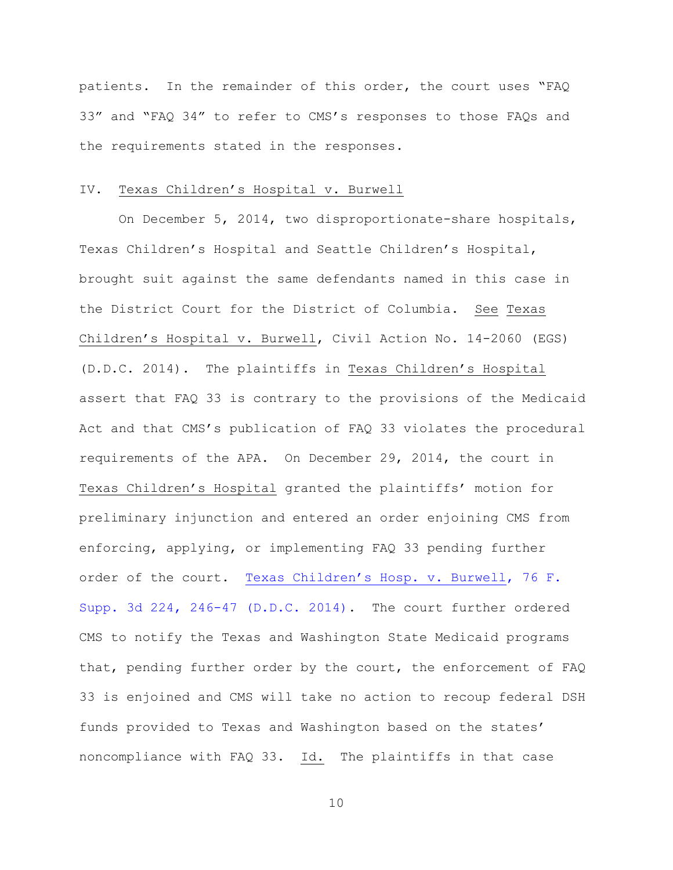patients. In the remainder of this order, the court uses "FAQ 33" and "FAQ 34" to refer to CMS's responses to those FAQs and the requirements stated in the responses.

### IV. Texas Children's Hospital v. Burwell

On December 5, 2014, two disproportionate-share hospitals, Texas Children's Hospital and Seattle Children's Hospital, brought suit against the same defendants named in this case in the District Court for the District of Columbia. See Texas Children's Hospital v. Burwell, Civil Action No. 14-2060 (EGS) (D.D.C. 2014). The plaintiffs in Texas Children's Hospital assert that FAQ 33 is contrary to the provisions of the Medicaid Act and that CMS's publication of FAQ 33 violates the procedural requirements of the APA. On December 29, 2014, the court in Texas Children's Hospital granted the plaintiffs' motion for preliminary injunction and entered an order enjoining CMS from enforcing, applying, or implementing FAQ 33 pending further order of the court. [Texas Children's Hosp. v. Burwell](https://www.westlaw.com/Document/I242e7e308fca11e4b603cc772dfc08c3/View/FullText.html?transitionType=Default&contextData=(sc.Default)&VR=3.0&RS=da3.0&fragmentIdentifier=co_pp_sp_7903_246), 76 F. [Supp. 3d 224, 246-47 \(D.D.C. 2014\).](https://www.westlaw.com/Document/I242e7e308fca11e4b603cc772dfc08c3/View/FullText.html?transitionType=Default&contextData=(sc.Default)&VR=3.0&RS=da3.0&fragmentIdentifier=co_pp_sp_7903_246) The court further ordered CMS to notify the Texas and Washington State Medicaid programs that, pending further order by the court, the enforcement of FAQ 33 is enjoined and CMS will take no action to recoup federal DSH funds provided to Texas and Washington based on the states' noncompliance with FAQ 33. Id. The plaintiffs in that case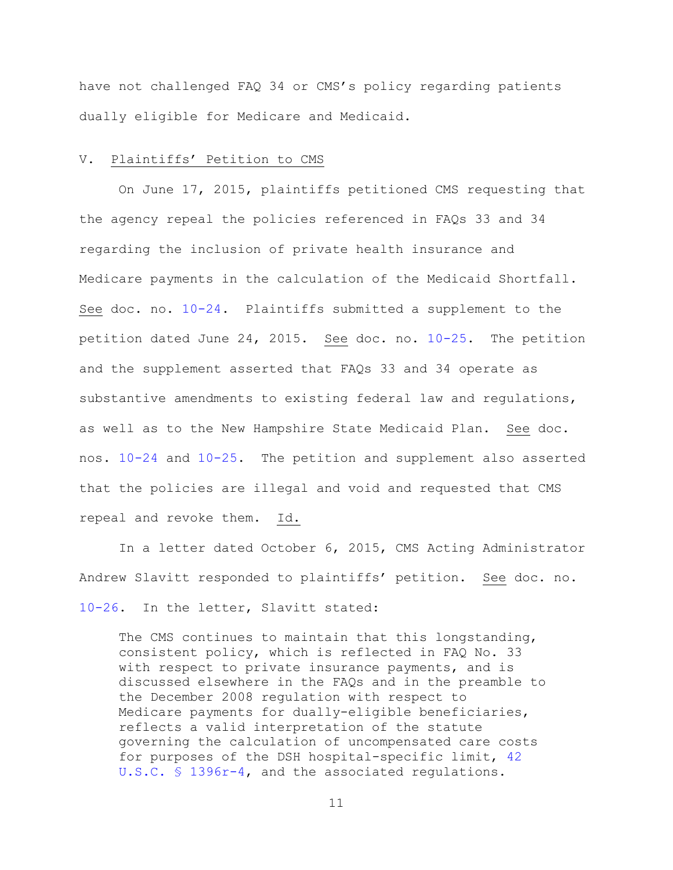have not challenged FAQ 34 or CMS's policy regarding patients dually eligible for Medicare and Medicaid.

### V. Plaintiffs' Petition to CMS

On June 17, 2015, plaintiffs petitioned CMS requesting that the agency repeal the policies referenced in FAQs 33 and 34 regarding the inclusion of private health insurance and Medicare payments in the calculation of the Medicaid Shortfall. See doc. no. [10-24.](https://ecf.nhd.uscourts.gov/doc1/11711644878) Plaintiffs submitted a supplement to the petition dated June 24, 2015. See doc. no. [10-25.](https://ecf.nhd.uscourts.gov/doc1/11711644879) The petition and the supplement asserted that FAQs 33 and 34 operate as substantive amendments to existing federal law and regulations, as well as to the New Hampshire State Medicaid Plan. See doc. nos. [10-24](https://ecf.nhd.uscourts.gov/doc1/11711644878) and [10-25.](https://ecf.nhd.uscourts.gov/doc1/11711644879) The petition and supplement also asserted that the policies are illegal and void and requested that CMS repeal and revoke them. Id.

In a letter dated October 6, 2015, CMS Acting Administrator Andrew Slavitt responded to plaintiffs' petition. See doc. no. [10-26.](https://ecf.nhd.uscourts.gov/doc1/11711644880) In the letter, Slavitt stated:

The CMS continues to maintain that this longstanding, consistent policy, which is reflected in FAQ No. 33 with respect to private insurance payments, and is discussed elsewhere in the FAQs and in the preamble to the December 2008 regulation with respect to Medicare payments for dually-eligible beneficiaries, reflects a valid interpretation of the statute governing the calculation of uncompensated care costs for purposes of the DSH hospital-specific limit, [42](https://www.westlaw.com/Document/N762090E0FD0F11E4B1FDF877C682C725/View/FullText.html?transitionType=Default&contextData=(sc.Default)&VR=3.0&RS=da3.0)  [U.S.C. § 1396r-4,](https://www.westlaw.com/Document/N762090E0FD0F11E4B1FDF877C682C725/View/FullText.html?transitionType=Default&contextData=(sc.Default)&VR=3.0&RS=da3.0) and the associated regulations.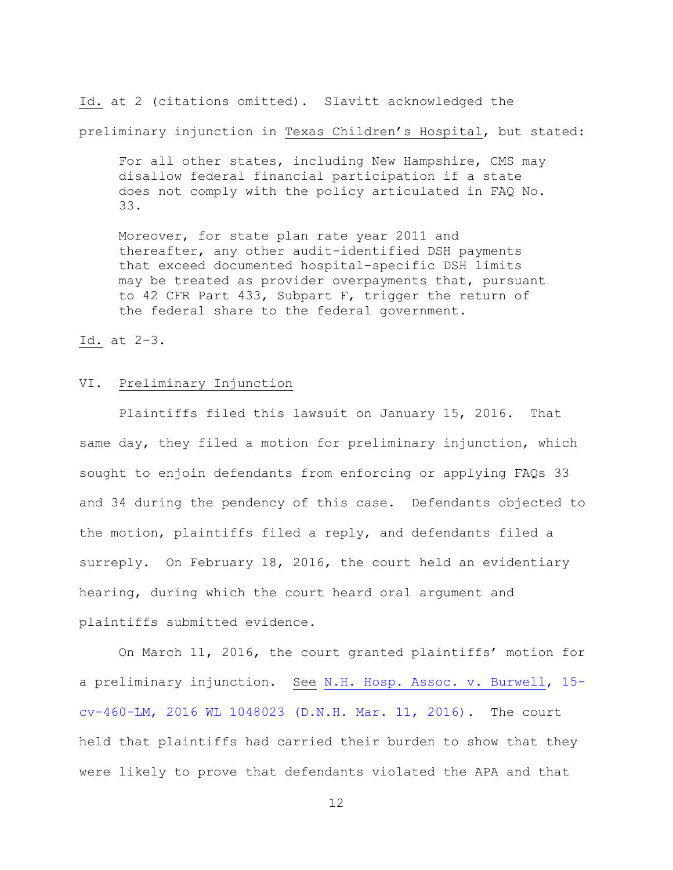Id. at 2 (citations omitted). Slavitt acknowledged the preliminary injunction in Texas Children's Hospital, but stated:

For all other states, including New Hampshire, CMS may disallow federal financial participation if a state does not comply with the policy articulated in FAQ No. 33.

Moreover, for state plan rate year 2011 and thereafter, any other audit-identified DSH payments that exceed documented hospital-specific DSH limits may be treated as provider overpayments that, pursuant to 42 CFR Part 433, Subpart F, trigger the return of the federal share to the federal government.

Id. at 2-3.

# VI. Preliminary Injunction

Plaintiffs filed this lawsuit on January 15, 2016. That same day, they filed a motion for preliminary injunction, which sought to enjoin defendants from enforcing or applying FAQs 33 and 34 during the pendency of this case. Defendants objected to the motion, plaintiffs filed a reply, and defendants filed a surreply. On February 18, 2016, the court held an evidentiary hearing, during which the court heard oral argument and plaintiffs submitted evidence.

On March 11, 2016, the court granted plaintiffs' motion for a preliminary injunction. See [N.H. Hosp. Assoc. v. Burwell, 15](https://www.westlaw.com/Document/Id648ec30ec4511e5b10893af99153f48/View/FullText.html?transitionType=Default&contextData=(sc.Default)&VR=3.0&RS=da3.0) [cv-460-LM, 2016 WL 1048023 \(D.N.H. Mar. 11, 2016\).](https://www.westlaw.com/Document/Id648ec30ec4511e5b10893af99153f48/View/FullText.html?transitionType=Default&contextData=(sc.Default)&VR=3.0&RS=da3.0) The court held that plaintiffs had carried their burden to show that they were likely to prove that defendants violated the APA and that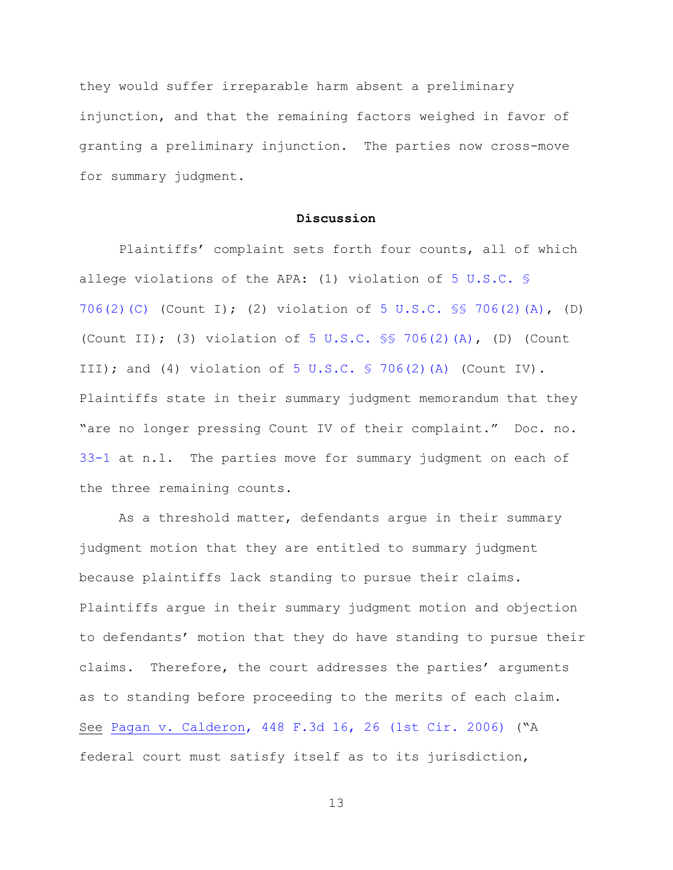they would suffer irreparable harm absent a preliminary injunction, and that the remaining factors weighed in favor of granting a preliminary injunction. The parties now cross-move for summary judgment.

# **Discussion**

Plaintiffs' complaint sets forth four counts, all of which allege violations of the APA: (1) violation of [5 U.S.C. §](https://www.westlaw.com/Document/NB66076C0A84311D885E288E02FD16EE7/View/FullText.html?transitionType=Default&contextData=(sc.Default)&VR=3.0&RS=da3.0)  [706\(2\)\(C\)](https://www.westlaw.com/Document/NB66076C0A84311D885E288E02FD16EE7/View/FullText.html?transitionType=Default&contextData=(sc.Default)&VR=3.0&RS=da3.0) (Count I); (2) violation of [5 U.S.C. §§ 706\(2\)\(A\),](https://www.westlaw.com/Document/NB66076C0A84311D885E288E02FD16EE7/View/FullText.html?transitionType=Default&contextData=(sc.Default)&VR=3.0&RS=da3.0) (D) (Count II); (3) violation of [5 U.S.C. §§ 706\(2\)\(A\),](https://www.westlaw.com/Document/NB66076C0A84311D885E288E02FD16EE7/View/FullText.html?transitionType=Default&contextData=(sc.Default)&VR=3.0&RS=da3.0) (D) (Count III); and (4) violation of  $5 \text{ U.S.C. }$  \$ 706(2)(A) (Count IV). Plaintiffs state in their summary judgment memorandum that they "are no longer pressing Count IV of their complaint." Doc. no. [33-1](https://ecf.nhd.uscourts.gov/doc1/11711709681) at n.1. The parties move for summary judgment on each of the three remaining counts.

As a threshold matter, defendants argue in their summary judgment motion that they are entitled to summary judgment because plaintiffs lack standing to pursue their claims. Plaintiffs argue in their summary judgment motion and objection to defendants' motion that they do have standing to pursue their claims. Therefore, the court addresses the parties' arguments as to standing before proceeding to the merits of each claim. See [Pagan v. Calderon, 448 F.3d 16, 26 \(1st Cir. 2006\)](https://www.westlaw.com/Document/I7750786ae4ef11da8c5e8eef0920bc71/View/FullText.html?transitionType=Default&contextData=(sc.Default)&VR=3.0&RS=da3.0&fragmentIdentifier=co_pp_sp_506_26) ("A federal court must satisfy itself as to its jurisdiction,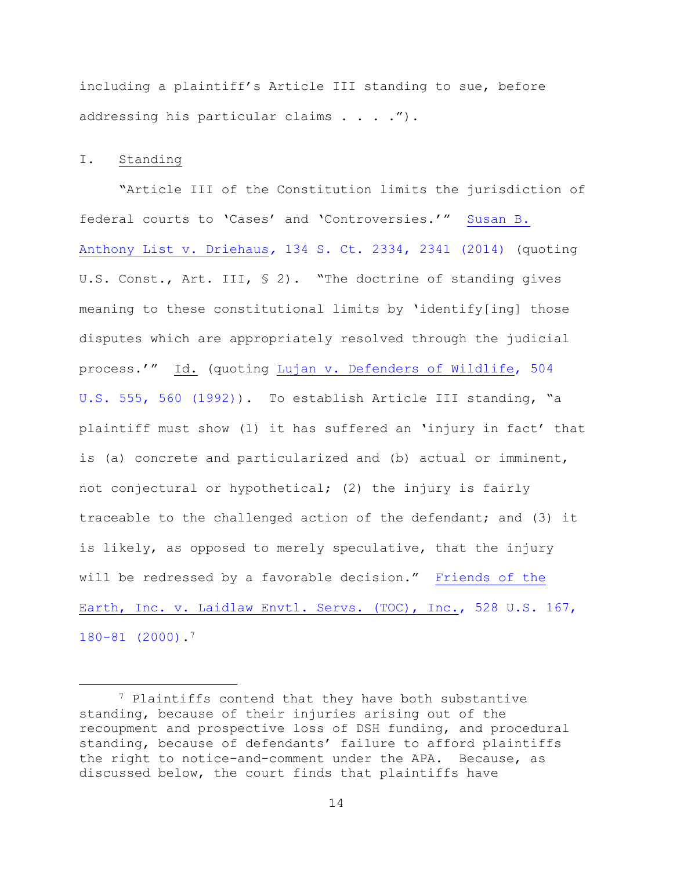including a plaintiff's Article III standing to sue, before addressing his particular claims . . . .").

# I. Standing

a<br>B

"Article III of the Constitution limits the jurisdiction of federal courts to 'Cases' and 'Controversies.'" [Susan B.](https://www.westlaw.com/Document/Ifa436bb2f55311e390d4edf60ce7d742/View/FullText.html?transitionType=Default&contextData=(sc.Default)&VR=3.0&RS=da3.0&fragmentIdentifier=co_pp_sp_708_2341)  Anthony List v. Driehaus*,* [134 S. Ct. 2334, 2341 \(2014\)](https://www.westlaw.com/Document/Ifa436bb2f55311e390d4edf60ce7d742/View/FullText.html?transitionType=Default&contextData=(sc.Default)&VR=3.0&RS=da3.0&fragmentIdentifier=co_pp_sp_708_2341) (quoting U.S. Const., Art. III, § 2). "The doctrine of standing gives meaning to these constitutional limits by 'identify[ing] those disputes which are appropriately resolved through the judicial process.'" Id. (quoting [Lujan v. Defenders of Wildlife, 504](https://www.westlaw.com/Document/I72e88d139c9a11d991d0cc6b54f12d4d/View/FullText.html?transitionType=Default&contextData=(sc.Default)&VR=3.0&RS=da3.0&fragmentIdentifier=co_pp_sp_780_560)  [U.S. 555, 560 \(1992\)\)](https://www.westlaw.com/Document/I72e88d139c9a11d991d0cc6b54f12d4d/View/FullText.html?transitionType=Default&contextData=(sc.Default)&VR=3.0&RS=da3.0&fragmentIdentifier=co_pp_sp_780_560). To establish Article III standing, "a plaintiff must show (1) it has suffered an 'injury in fact' that is (a) concrete and particularized and (b) actual or imminent, not conjectural or hypothetical; (2) the injury is fairly traceable to the challenged action of the defendant; and (3) it is likely, as opposed to merely speculative, that the injury will be redressed by a favorable decision." [Friends of the](https://www.westlaw.com/Document/Ibded03599c2511d9bc61beebb95be672/View/FullText.html?transitionType=Default&contextData=(sc.Default)&VR=3.0&RS=da3.0&fragmentIdentifier=co_pp_sp_780_180)  [Earth, Inc. v. Laidlaw Envtl. Servs. \(TOC\), Inc., 528 U.S. 167,](https://www.westlaw.com/Document/Ibded03599c2511d9bc61beebb95be672/View/FullText.html?transitionType=Default&contextData=(sc.Default)&VR=3.0&RS=da3.0&fragmentIdentifier=co_pp_sp_780_180)  [180-81 \(2000\).](https://www.westlaw.com/Document/Ibded03599c2511d9bc61beebb95be672/View/FullText.html?transitionType=Default&contextData=(sc.Default)&VR=3.0&RS=da3.0&fragmentIdentifier=co_pp_sp_780_180)<sup>7</sup>

<sup>7</sup> Plaintiffs contend that they have both substantive standing, because of their injuries arising out of the recoupment and prospective loss of DSH funding, and procedural standing, because of defendants' failure to afford plaintiffs the right to notice-and-comment under the APA. Because, as discussed below, the court finds that plaintiffs have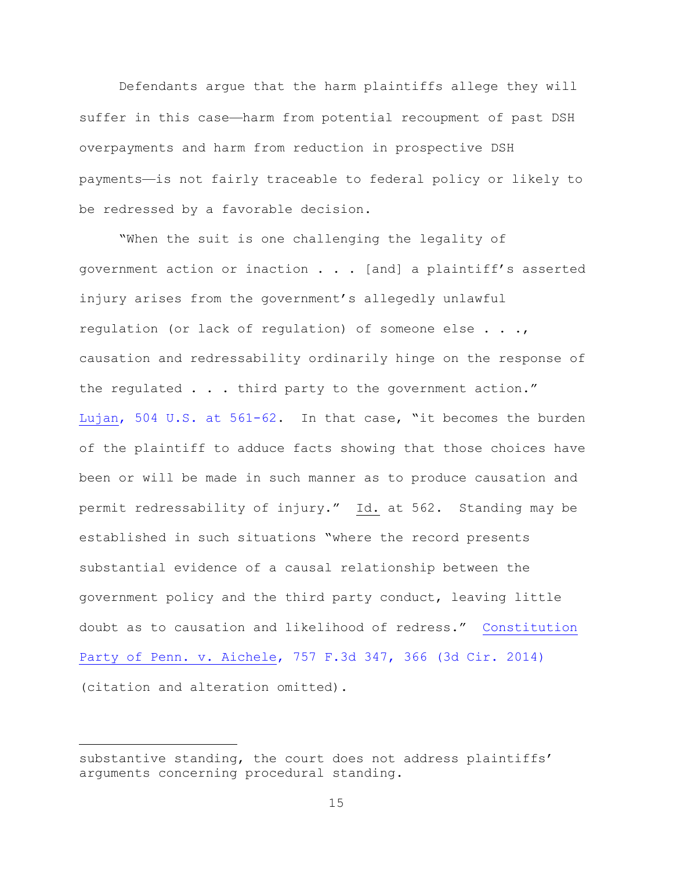Defendants argue that the harm plaintiffs allege they will suffer in this case—harm from potential recoupment of past DSH overpayments and harm from reduction in prospective DSH payments—is not fairly traceable to federal policy or likely to be redressed by a favorable decision.

"When the suit is one challenging the legality of government action or inaction . . . [and] a plaintiff's asserted injury arises from the government's allegedly unlawful regulation (or lack of regulation) of someone else . . ., causation and redressability ordinarily hinge on the response of the regulated . . . third party to the government action." [Lujan, 504 U.S. at 561-62](https://www.westlaw.com/Document/I72e88d139c9a11d991d0cc6b54f12d4d/View/FullText.html?transitionType=Default&contextData=(sc.Default)&VR=3.0&RS=da3.0&fragmentIdentifier=co_pp_sp_780_561). In that case, "it becomes the burden of the plaintiff to adduce facts showing that those choices have been or will be made in such manner as to produce causation and permit redressability of injury." Id. at 562. Standing may be established in such situations "where the record presents substantial evidence of a causal relationship between the government policy and the third party conduct, leaving little doubt as to causation and likelihood of redress." [Constitution](https://www.westlaw.com/Document/I72f5aa3c07a811e4a795ac035416da91/View/FullText.html?transitionType=Default&contextData=(sc.Default)&VR=3.0&RS=da3.0&fragmentIdentifier=co_pp_sp_506_366)  [Party of Penn. v. Aichele, 757 F.3d 347, 366 \(3d Cir. 2014\)](https://www.westlaw.com/Document/I72f5aa3c07a811e4a795ac035416da91/View/FullText.html?transitionType=Default&contextData=(sc.Default)&VR=3.0&RS=da3.0&fragmentIdentifier=co_pp_sp_506_366) (citation and alteration omitted).

substantive standing, the court does not address plaintiffs' arguments concerning procedural standing.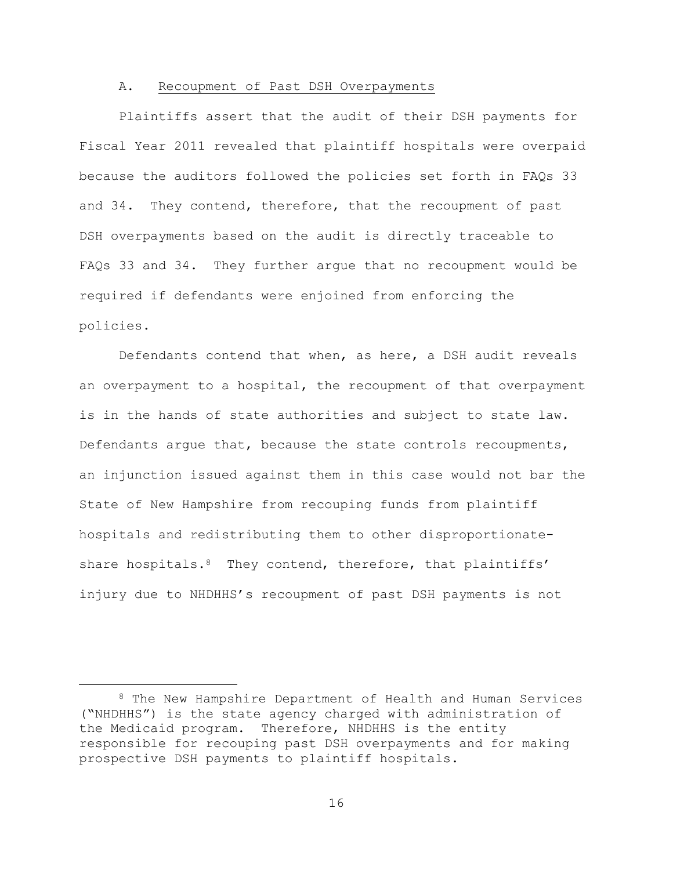#### A. Recoupment of Past DSH Overpayments

Plaintiffs assert that the audit of their DSH payments for Fiscal Year 2011 revealed that plaintiff hospitals were overpaid because the auditors followed the policies set forth in FAQs 33 and 34. They contend, therefore, that the recoupment of past DSH overpayments based on the audit is directly traceable to FAQs 33 and 34. They further argue that no recoupment would be required if defendants were enjoined from enforcing the policies.

Defendants contend that when, as here, a DSH audit reveals an overpayment to a hospital, the recoupment of that overpayment is in the hands of state authorities and subject to state law. Defendants argue that, because the state controls recoupments, an injunction issued against them in this case would not bar the State of New Hampshire from recouping funds from plaintiff hospitals and redistributing them to other disproportionateshare hospitals.<sup>8</sup> They contend, therefore, that plaintiffs' injury due to NHDHHS's recoupment of past DSH payments is not

<sup>8</sup> The New Hampshire Department of Health and Human Services ("NHDHHS") is the state agency charged with administration of the Medicaid program. Therefore, NHDHHS is the entity responsible for recouping past DSH overpayments and for making prospective DSH payments to plaintiff hospitals.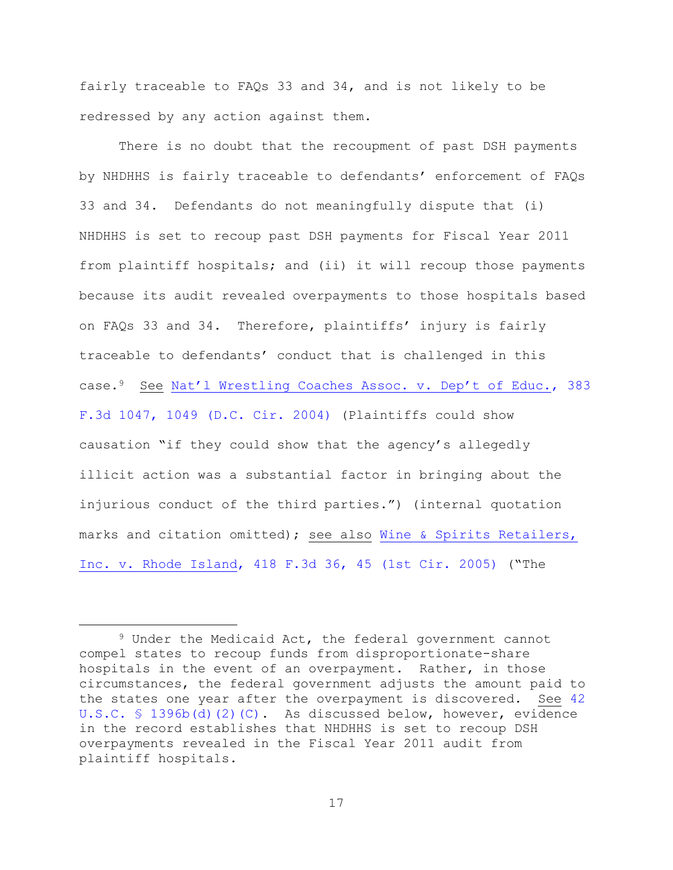fairly traceable to FAQs 33 and 34, and is not likely to be redressed by any action against them.

There is no doubt that the recoupment of past DSH payments by NHDHHS is fairly traceable to defendants' enforcement of FAQs 33 and 34. Defendants do not meaningfully dispute that (i) NHDHHS is set to recoup past DSH payments for Fiscal Year 2011 from plaintiff hospitals; and (ii) it will recoup those payments because its audit revealed overpayments to those hospitals based on FAQs 33 and 34. Therefore, plaintiffs' injury is fairly traceable to defendants' conduct that is challenged in this case.9 See [Nat'l Wrestling Coaches Assoc. v. Dep't of Educ.](https://www.westlaw.com/Document/I9ca0f97e8bbf11d9af17b5c9441c4c47/View/FullText.html?transitionType=Default&contextData=(sc.Default)&VR=3.0&RS=da3.0&fragmentIdentifier=co_pp_sp_506_1049), 383 [F.3d 1047, 1049 \(D.C. Cir. 2004\)](https://www.westlaw.com/Document/I9ca0f97e8bbf11d9af17b5c9441c4c47/View/FullText.html?transitionType=Default&contextData=(sc.Default)&VR=3.0&RS=da3.0&fragmentIdentifier=co_pp_sp_506_1049) (Plaintiffs could show causation "if they could show that the agency's allegedly illicit action was a substantial factor in bringing about the injurious conduct of the third parties.") (internal quotation marks and citation omitted); see also Wine & Spirits Retailers, [Inc. v. Rhode Island, 418 F.3d 36, 45 \(1st Cir. 2005\)](https://www.westlaw.com/Document/I21744ab1093f11dabf60c1d57ebc853e/View/FullText.html?transitionType=Default&contextData=(sc.Default)&VR=3.0&RS=da3.0&fragmentIdentifier=co_pp_sp_506_45) ("The

<sup>9</sup> Under the Medicaid Act, the federal government cannot compel states to recoup funds from disproportionate-share hospitals in the event of an overpayment. Rather, in those circumstances, the federal government adjusts the amount paid to the states one year after the overpayment is discovered. See [42](https://www.westlaw.com/Document/N6D110620D37711E69D578AB4B2C87682/View/FullText.html?transitionType=Default&contextData=(sc.Default)&VR=3.0&RS=da3.0)  [U.S.C. § 1396b\(d\)\(2\)\(C\).](https://www.westlaw.com/Document/N6D110620D37711E69D578AB4B2C87682/View/FullText.html?transitionType=Default&contextData=(sc.Default)&VR=3.0&RS=da3.0) As discussed below, however, evidence in the record establishes that NHDHHS is set to recoup DSH overpayments revealed in the Fiscal Year 2011 audit from plaintiff hospitals.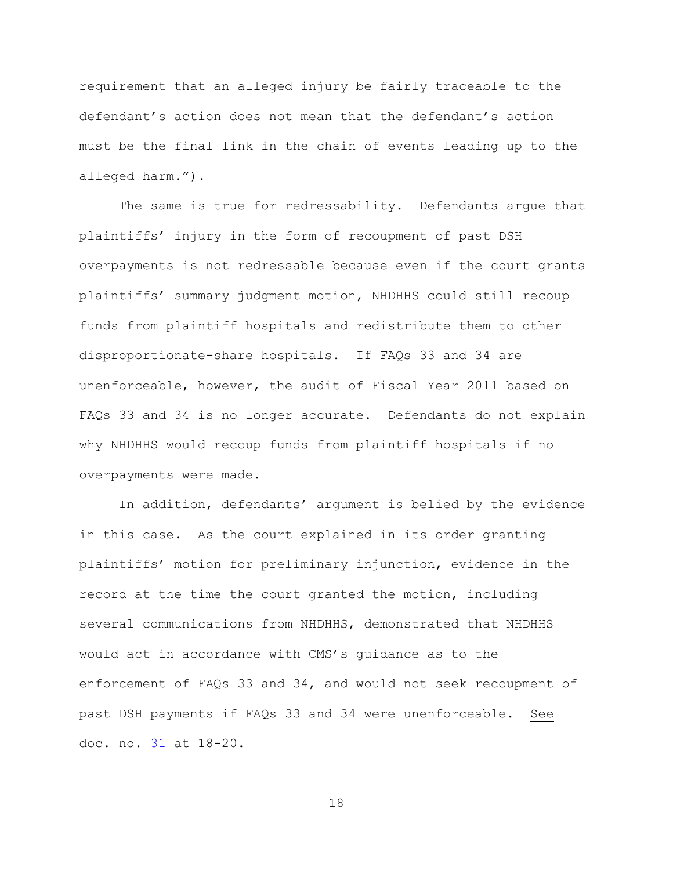requirement that an alleged injury be fairly traceable to the defendant's action does not mean that the defendant's action must be the final link in the chain of events leading up to the alleged harm.").

The same is true for redressability. Defendants argue that plaintiffs' injury in the form of recoupment of past DSH overpayments is not redressable because even if the court grants plaintiffs' summary judgment motion, NHDHHS could still recoup funds from plaintiff hospitals and redistribute them to other disproportionate-share hospitals. If FAQs 33 and 34 are unenforceable, however, the audit of Fiscal Year 2011 based on FAQs 33 and 34 is no longer accurate. Defendants do not explain why NHDHHS would recoup funds from plaintiff hospitals if no overpayments were made.

In addition, defendants' argument is belied by the evidence in this case. As the court explained in its order granting plaintiffs' motion for preliminary injunction, evidence in the record at the time the court granted the motion, including several communications from NHDHHS, demonstrated that NHDHHS would act in accordance with CMS's guidance as to the enforcement of FAQs 33 and 34, and would not seek recoupment of past DSH payments if FAQs 33 and 34 were unenforceable. See doc. no. [31](https://ecf.nhd.uscourts.gov/doc1/11711694608) at 18-20.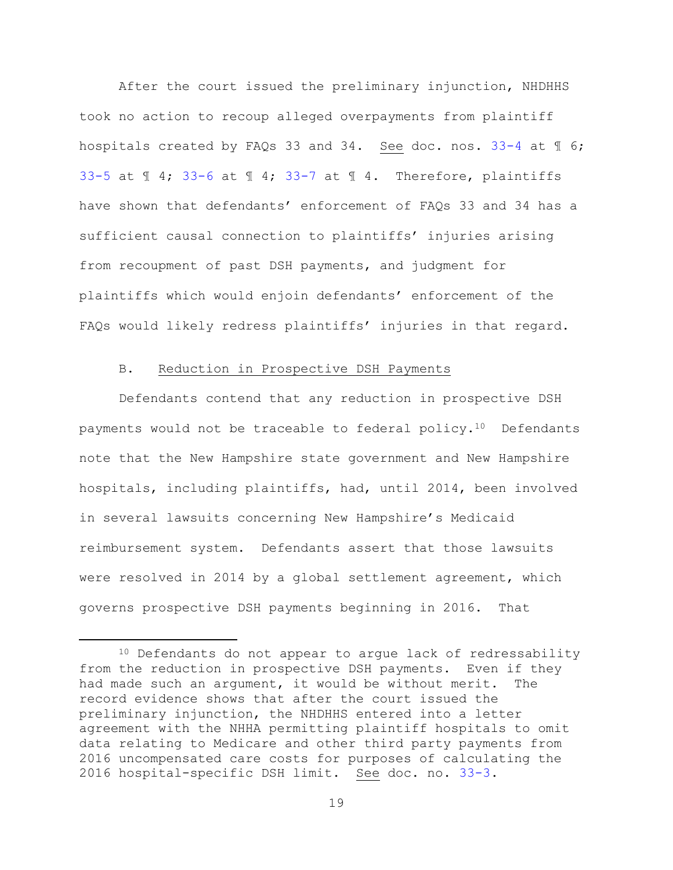After the court issued the preliminary injunction, NHDHHS took no action to recoup alleged overpayments from plaintiff hospitals created by FAQs 33 and 34. See doc. nos. [33-4](https://ecf.nhd.uscourts.gov/doc1/11711709684) at 1 6; [33-5](https://ecf.nhd.uscourts.gov/doc1/11711709685) at  $\text{I}$  4; [33-6](https://ecf.nhd.uscourts.gov/doc1/11711709686) at  $\text{I}$  4; [33-7](https://ecf.nhd.uscourts.gov/doc1/11711709687) at  $\text{I}$  4. Therefore, plaintiffs have shown that defendants' enforcement of FAQs 33 and 34 has a sufficient causal connection to plaintiffs' injuries arising from recoupment of past DSH payments, and judgment for plaintiffs which would enjoin defendants' enforcement of the FAQs would likely redress plaintiffs' injuries in that regard.

# B. Reduction in Prospective DSH Payments

a<br>B

Defendants contend that any reduction in prospective DSH payments would not be traceable to federal policy.<sup>10</sup> Defendants note that the New Hampshire state government and New Hampshire hospitals, including plaintiffs, had, until 2014, been involved in several lawsuits concerning New Hampshire's Medicaid reimbursement system. Defendants assert that those lawsuits were resolved in 2014 by a global settlement agreement, which governs prospective DSH payments beginning in 2016. That

<sup>10</sup> Defendants do not appear to argue lack of redressability from the reduction in prospective DSH payments. Even if they had made such an argument, it would be without merit. The record evidence shows that after the court issued the preliminary injunction, the NHDHHS entered into a letter agreement with the NHHA permitting plaintiff hospitals to omit data relating to Medicare and other third party payments from 2016 uncompensated care costs for purposes of calculating the 2016 hospital-specific DSH limit. See doc. no. [33-3.](https://ecf.nhd.uscourts.gov/doc1/11711709683)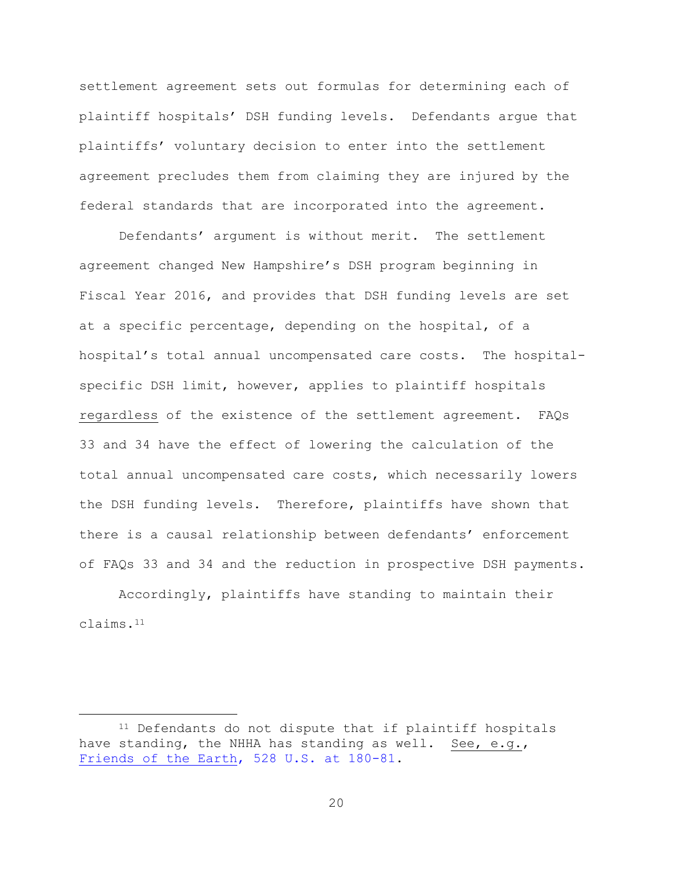settlement agreement sets out formulas for determining each of plaintiff hospitals' DSH funding levels. Defendants argue that plaintiffs' voluntary decision to enter into the settlement agreement precludes them from claiming they are injured by the federal standards that are incorporated into the agreement.

Defendants' argument is without merit. The settlement agreement changed New Hampshire's DSH program beginning in Fiscal Year 2016, and provides that DSH funding levels are set at a specific percentage, depending on the hospital, of a hospital's total annual uncompensated care costs. The hospitalspecific DSH limit, however, applies to plaintiff hospitals regardless of the existence of the settlement agreement. FAQs 33 and 34 have the effect of lowering the calculation of the total annual uncompensated care costs, which necessarily lowers the DSH funding levels. Therefore, plaintiffs have shown that there is a causal relationship between defendants' enforcement of FAQs 33 and 34 and the reduction in prospective DSH payments.

Accordingly, plaintiffs have standing to maintain their claims.<sup>11</sup>

<sup>&</sup>lt;sup>11</sup> Defendants do not dispute that if plaintiff hospitals have standing, the NHHA has standing as well. See, e.g., [Friends of the Earth, 528 U.S. at 180-81.](https://www.westlaw.com/Document/Ibded03599c2511d9bc61beebb95be672/View/FullText.html?transitionType=Default&contextData=(sc.Default)&VR=3.0&RS=da3.0&fragmentIdentifier=co_pp_sp_780_180)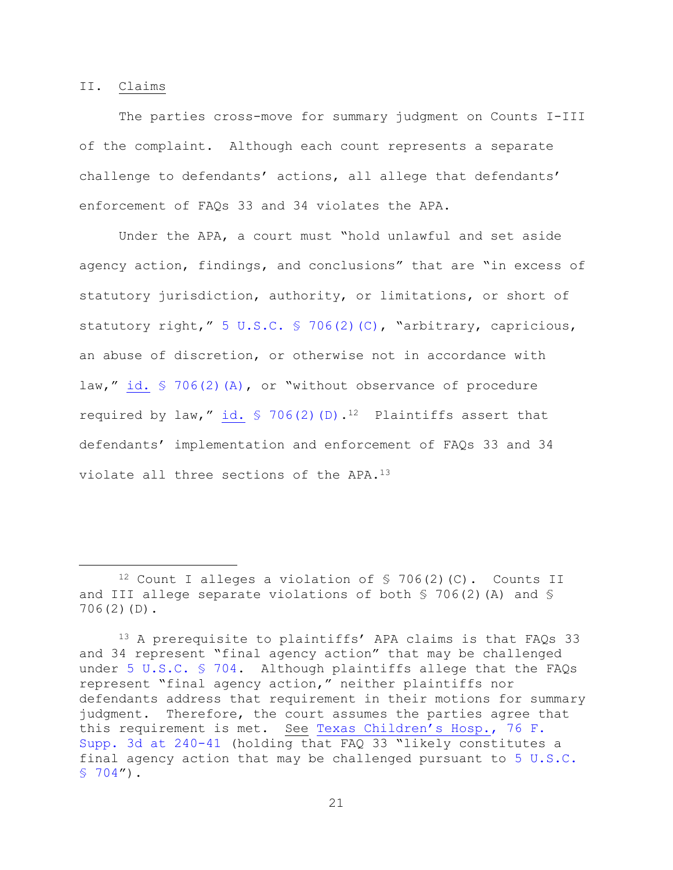### II. Claims

L,

The parties cross-move for summary judgment on Counts I-III of the complaint. Although each count represents a separate challenge to defendants' actions, all allege that defendants' enforcement of FAQs 33 and 34 violates the APA.

Under the APA, a court must "hold unlawful and set aside agency action, findings, and conclusions" that are "in excess of statutory jurisdiction, authority, or limitations, or short of statutory right," [5 U.S.C. § 706\(2\)\(C\)](https://www.westlaw.com/Document/NB66076C0A84311D885E288E02FD16EE7/View/FullText.html?transitionType=Default&contextData=(sc.Default)&VR=3.0&RS=da3.0), "arbitrary, capricious, an abuse of discretion, or otherwise not in accordance with law," id.  $$706(2)$  (A), or "without observance of procedure required by law," id.  $\frac{1}{2}$  706(2)(D).<sup>12</sup> Plaintiffs assert that defendants' implementation and enforcement of FAQs 33 and 34 violate all three sections of the APA.<sup>13</sup>

<sup>&</sup>lt;sup>12</sup> Count I alleges a violation of  $\frac{12}{10}$  (C). Counts II and III allege separate violations of both § 706(2)(A) and § 706(2)(D).

<sup>13</sup> A prerequisite to plaintiffs' APA claims is that FAQs 33 and 34 represent "final agency action" that may be challenged under [5 U.S.C. § 704.](https://www.westlaw.com/Document/NB55C9B50A84311D885E288E02FD16EE7/View/FullText.html?transitionType=Default&contextData=(sc.Default)&VR=3.0&RS=da3.0) Although plaintiffs allege that the FAQs represent "final agency action," neither plaintiffs nor defendants address that requirement in their motions for summary judgment. Therefore, the court assumes the parties agree that this requirement is met. See [Texas Children's Hos](https://www.westlaw.com/Document/I242e7e308fca11e4b603cc772dfc08c3/View/FullText.html?transitionType=Default&contextData=(sc.Default)&VR=3.0&RS=da3.0&fragmentIdentifier=co_pp_sp_7903_240)p., 76 F. [Supp. 3d at 240-41](https://www.westlaw.com/Document/I242e7e308fca11e4b603cc772dfc08c3/View/FullText.html?transitionType=Default&contextData=(sc.Default)&VR=3.0&RS=da3.0&fragmentIdentifier=co_pp_sp_7903_240) (holding that FAQ 33 "likely constitutes a final agency action that may be challenged pursuant to [5 U.S.C.](https://www.westlaw.com/Document/NB55C9B50A84311D885E288E02FD16EE7/View/FullText.html?transitionType=Default&contextData=(sc.Default)&VR=3.0&RS=da3.0)   $$704"$ ).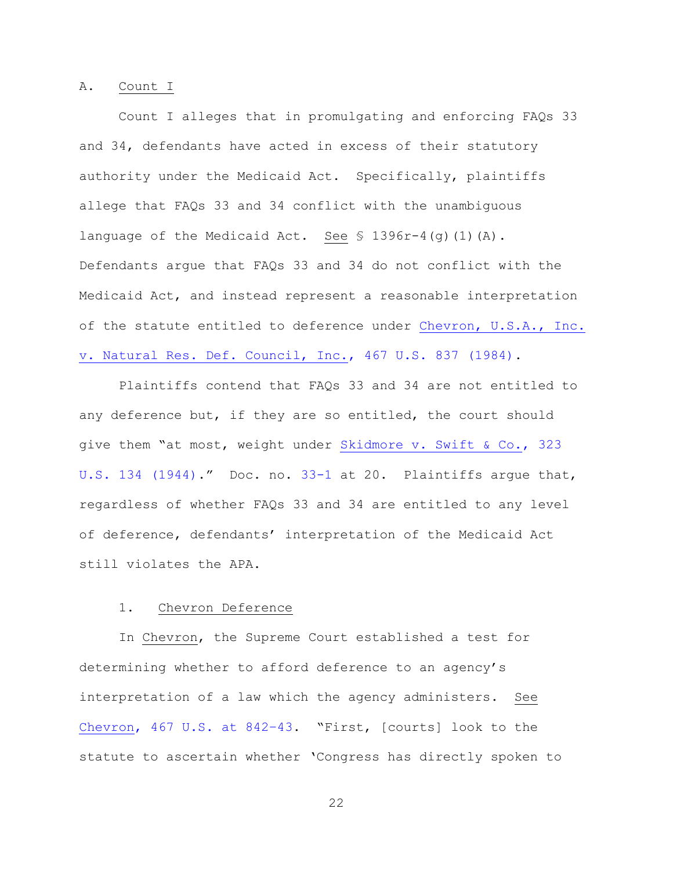#### A. Count I

Count I alleges that in promulgating and enforcing FAQs 33 and 34, defendants have acted in excess of their statutory authority under the Medicaid Act. Specifically, plaintiffs allege that FAQs 33 and 34 conflict with the unambiguous language of the Medicaid Act. See § 1396r-4(g)(1)(A). Defendants argue that FAQs 33 and 34 do not conflict with the Medicaid Act, and instead represent a reasonable interpretation of the statute entitled to deference under [Chevron, U.S.A., Inc.](https://www.westlaw.com/Document/I1d248e419c9711d993e6d35cc61aab4a/View/FullText.html?transitionType=Default&contextData=(sc.Default)&VR=3.0&RS=da3.0)  [v. Natural Res. Def. Council, Inc., 467 U.S. 837 \(1984\).](https://www.westlaw.com/Document/I1d248e419c9711d993e6d35cc61aab4a/View/FullText.html?transitionType=Default&contextData=(sc.Default)&VR=3.0&RS=da3.0)

Plaintiffs contend that FAQs 33 and 34 are not entitled to any deference but, if they are so entitled, the court should give them "at most, weight under [Skidmore v. Swift & Co., 323](https://www.westlaw.com/Document/I177939439c1f11d993e6d35cc61aab4a/View/FullText.html?transitionType=Default&contextData=(sc.Default)&VR=3.0&RS=da3.0)  [U.S. 134 \(1944\)](https://www.westlaw.com/Document/I177939439c1f11d993e6d35cc61aab4a/View/FullText.html?transitionType=Default&contextData=(sc.Default)&VR=3.0&RS=da3.0)." Doc. no. [33-1](https://ecf.nhd.uscourts.gov/doc1/11711709681) at 20. Plaintiffs argue that, regardless of whether FAQs 33 and 34 are entitled to any level of deference, defendants' interpretation of the Medicaid Act still violates the APA.

# 1. Chevron Deference

In Chevron, the Supreme Court established a test for determining whether to afford deference to an agency's interpretation of a law which the agency administers. See [Chevron, 467 U.S. at 842](https://www.westlaw.com/Document/I1d248e419c9711d993e6d35cc61aab4a/View/FullText.html?transitionType=Default&contextData=(sc.Default)&VR=3.0&RS=da3.0&fragmentIdentifier=co_pp_sp_780_842%e2%80%9343)–43. "First, [courts] look to the statute to ascertain whether 'Congress has directly spoken to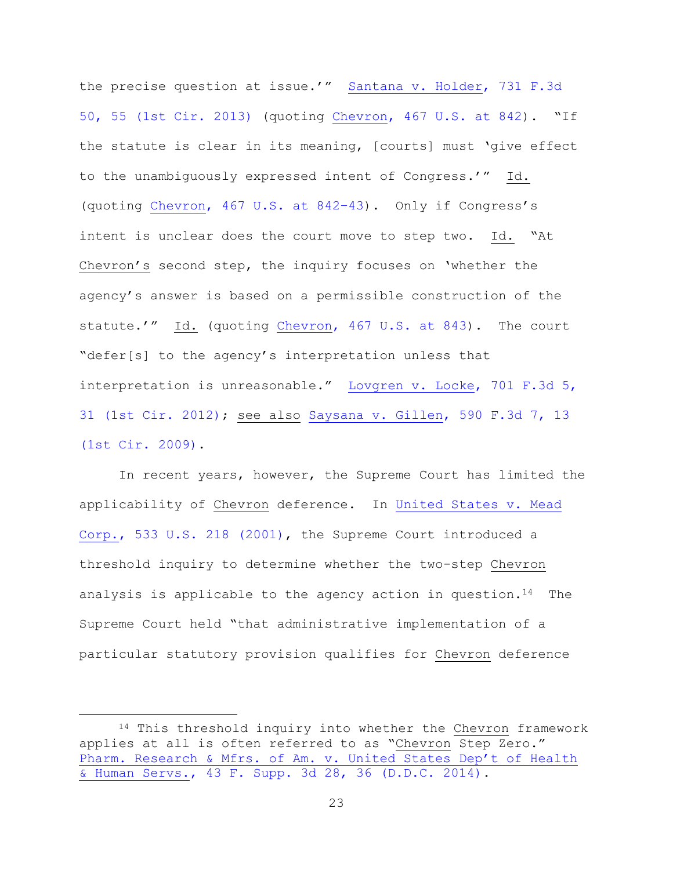the precise question at issue.'" [Santana v. Holder, 731 F.3d](https://www.westlaw.com/Document/Ia8f5239b27ad11e3b48bea39e86d4142/View/FullText.html?transitionType=Default&contextData=(sc.Default)&VR=3.0&RS=da3.0&fragmentIdentifier=co_pp_sp_506_55)  [50, 55 \(1st Cir. 2013\)](https://www.westlaw.com/Document/Ia8f5239b27ad11e3b48bea39e86d4142/View/FullText.html?transitionType=Default&contextData=(sc.Default)&VR=3.0&RS=da3.0&fragmentIdentifier=co_pp_sp_506_55) (quoting [Chevron, 467 U.S. at 842](https://www.westlaw.com/Document/I1d248e419c9711d993e6d35cc61aab4a/View/FullText.html?transitionType=Default&contextData=(sc.Default)&VR=3.0&RS=da3.0&fragmentIdentifier=co_pp_sp_780_842)). "If the statute is clear in its meaning, [courts] must 'give effect to the unambiguously expressed intent of Congress.'" Id. (quoting [Chevron, 467 U.S. at 842](https://www.westlaw.com/Document/I1d248e419c9711d993e6d35cc61aab4a/View/FullText.html?transitionType=Default&contextData=(sc.Default)&VR=3.0&RS=da3.0&fragmentIdentifier=co_pp_sp_780_842%e2%80%9343)–43). Only if Congress's intent is unclear does the court move to step two. Id. "At Chevron's second step, the inquiry focuses on 'whether the agency's answer is based on a permissible construction of the statute.'" Id. (quoting [Chevron, 467 U.S. at 843\)](https://www.westlaw.com/Document/I1d248e419c9711d993e6d35cc61aab4a/View/FullText.html?transitionType=Default&contextData=(sc.Default)&VR=3.0&RS=da3.0&fragmentIdentifier=co_pp_sp_780_843). The court "defer[s] to the agency's interpretation unless that interpretation is unreasonable." Lovgren v. Locke, 701 F.3d 5, [31 \(1st Cir. 2012\);](https://www.westlaw.com/Document/Ia9b9c1c33a8911e287a9c52cdddac4f7/View/FullText.html?transitionType=Default&contextData=(sc.Default)&VR=3.0&RS=da3.0&fragmentIdentifier=co_pp_sp_506_31) see also [Saysana v. Gillen, 590 F.3d 7, 13](https://www.westlaw.com/Document/Idc07e36aeefb11deae65b23e804c3c12/View/FullText.html?transitionType=Default&contextData=(sc.Default)&VR=3.0&RS=da3.0&fragmentIdentifier=co_pp_sp_506_13)  [\(1st Cir. 2009\).](https://www.westlaw.com/Document/Idc07e36aeefb11deae65b23e804c3c12/View/FullText.html?transitionType=Default&contextData=(sc.Default)&VR=3.0&RS=da3.0&fragmentIdentifier=co_pp_sp_506_13)

In recent years, however, the Supreme Court has limited the applicability of Chevron deference. In [United States v. Mead](https://www.westlaw.com/Document/Ice9f15b09c9611d993e6d35cc61aab4a/View/FullText.html?transitionType=Default&contextData=(sc.Default)&VR=3.0&RS=da3.0)  [Corp., 533 U.S. 218 \(2001\),](https://www.westlaw.com/Document/Ice9f15b09c9611d993e6d35cc61aab4a/View/FullText.html?transitionType=Default&contextData=(sc.Default)&VR=3.0&RS=da3.0) the Supreme Court introduced a threshold inquiry to determine whether the two-step Chevron analysis is applicable to the agency action in question.<sup>14</sup> The Supreme Court held "that administrative implementation of a particular statutory provision qualifies for Chevron deference

<sup>14</sup> This threshold inquiry into whether the Chevron framework applies at all is often referred to as "Chevron Step Zero." [Pharm. Research & Mfrs. of Am. v. United States Dep't of Health](https://www.westlaw.com/Document/I0b68c2a0e2c011e38530bc161e58ce0c/View/FullText.html?transitionType=Default&contextData=(sc.Default)&VR=3.0&RS=da3.0&fragmentIdentifier=co_pp_sp_7903_36)  [& Human Servs., 43 F. Supp. 3d 28, 36 \(D.D.C. 2014\).](https://www.westlaw.com/Document/I0b68c2a0e2c011e38530bc161e58ce0c/View/FullText.html?transitionType=Default&contextData=(sc.Default)&VR=3.0&RS=da3.0&fragmentIdentifier=co_pp_sp_7903_36)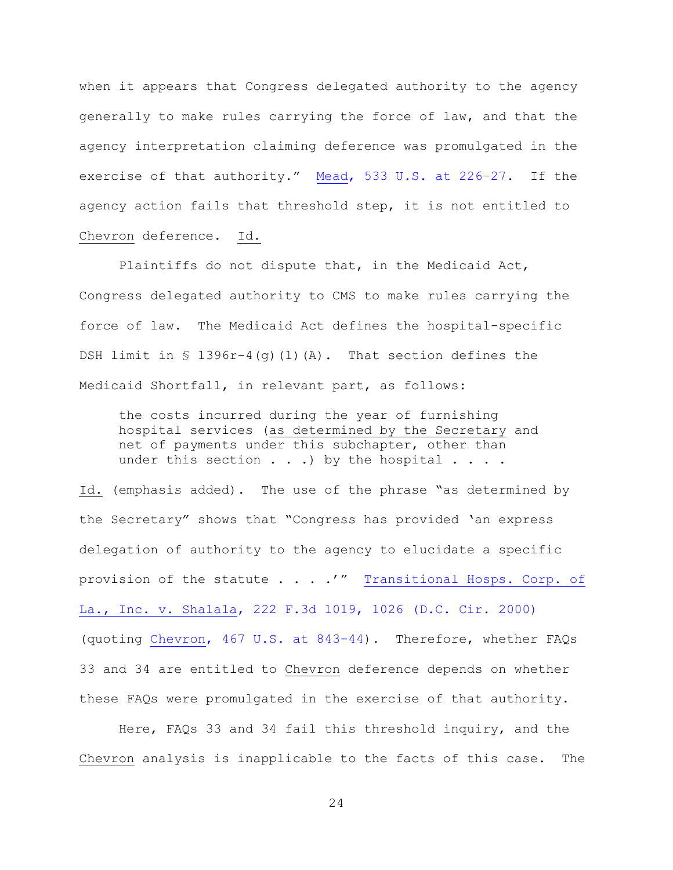when it appears that Congress delegated authority to the agency generally to make rules carrying the force of law, and that the agency interpretation claiming deference was promulgated in the exercise of that authority." [Mead, 533 U.S. at 226](https://www.westlaw.com/Document/Ice9f15b09c9611d993e6d35cc61aab4a/View/FullText.html?transitionType=Default&contextData=(sc.Default)&VR=3.0&RS=da3.0&fragmentIdentifier=co_pp_sp_780_226%e2%80%9327)–27. If the agency action fails that threshold step, it is not entitled to Chevron deference. Id.

Plaintiffs do not dispute that, in the Medicaid Act, Congress delegated authority to CMS to make rules carrying the force of law. The Medicaid Act defines the hospital-specific DSH limit in  $\{$  1396r-4(q)(1)(A). That section defines the Medicaid Shortfall, in relevant part, as follows:

the costs incurred during the year of furnishing hospital services (as determined by the Secretary and net of payments under this subchapter, other than under this section  $\ldots$  ) by the hospital  $\ldots$ .

Id. (emphasis added). The use of the phrase "as determined by the Secretary" shows that "Congress has provided 'an express delegation of authority to the agency to elucidate a specific provision of the statute . . . .'" Transitional Hosps. Corp. of [La., Inc. v. Shalala, 222 F.3d 1019, 1026 \(D.C. Cir. 2000\)](https://www.westlaw.com/Document/I9987f725798b11d9bf29e2067ad74e5b/View/FullText.html?transitionType=Default&contextData=(sc.Default)&VR=3.0&RS=da3.0&fragmentIdentifier=co_pp_sp_506_1026) (quoting [Chevron, 467 U.S. at 843-44\)](https://www.westlaw.com/Document/I1d248e419c9711d993e6d35cc61aab4a/View/FullText.html?transitionType=Default&contextData=(sc.Default)&VR=3.0&RS=da3.0&fragmentIdentifier=co_pp_sp_780_843). Therefore, whether FAQs 33 and 34 are entitled to Chevron deference depends on whether these FAQs were promulgated in the exercise of that authority.

Here, FAQs 33 and 34 fail this threshold inquiry, and the Chevron analysis is inapplicable to the facts of this case. The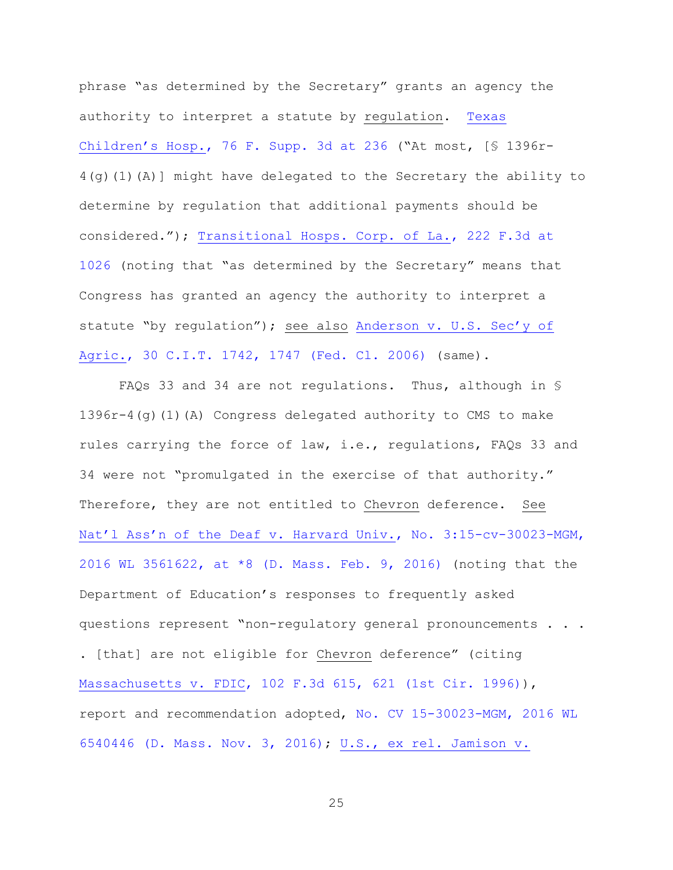phrase "as determined by the Secretary" grants an agency the authority to interpret a statute by regulation. [Texas](https://www.westlaw.com/Document/I242e7e308fca11e4b603cc772dfc08c3/View/FullText.html?transitionType=Default&contextData=(sc.Default)&VR=3.0&RS=da3.0&fragmentIdentifier=co_pp_sp_7903_236)  Children's Hosp.[, 76 F. Supp. 3d at 236](https://www.westlaw.com/Document/I242e7e308fca11e4b603cc772dfc08c3/View/FullText.html?transitionType=Default&contextData=(sc.Default)&VR=3.0&RS=da3.0&fragmentIdentifier=co_pp_sp_7903_236) ("At most, [§ 1396r- $4(q)(1)(A)$  might have delegated to the Secretary the ability to determine by regulation that additional payments should be considered."); [Transitional Hosps. Corp. of La., 222 F.3d at](https://www.westlaw.com/Document/I9987f725798b11d9bf29e2067ad74e5b/View/FullText.html?transitionType=Default&contextData=(sc.Default)&VR=3.0&RS=da3.0&fragmentIdentifier=co_pp_sp_506_1026)  [1026](https://www.westlaw.com/Document/I9987f725798b11d9bf29e2067ad74e5b/View/FullText.html?transitionType=Default&contextData=(sc.Default)&VR=3.0&RS=da3.0&fragmentIdentifier=co_pp_sp_506_1026) (noting that "as determined by the Secretary" means that Congress has granted an agency the authority to interpret a statute "by regulation"); see also [Anderson v. U.S. Sec'y of](https://www.westlaw.com/Document/I259a955a6a4f11dbb38df5bc58c34d92/View/FullText.html?transitionType=Default&contextData=(sc.Default)&VR=3.0&RS=da3.0&fragmentIdentifier=co_pp_sp_837_1747)  [Agric., 30 C.I.T. 1742, 1747 \(Fed. Cl. 2006\)](https://www.westlaw.com/Document/I259a955a6a4f11dbb38df5bc58c34d92/View/FullText.html?transitionType=Default&contextData=(sc.Default)&VR=3.0&RS=da3.0&fragmentIdentifier=co_pp_sp_837_1747) (same).

FAQs 33 and 34 are not regulations. Thus, although in § 1396r-4(g)(1)(A) Congress delegated authority to CMS to make rules carrying the force of law, i.e., regulations, FAQs 33 and 34 were not "promulgated in the exercise of that authority." Therefore, they are not entitled to Chevron deference. See [Nat'l Ass'n of the Deaf v. Harvard Univ.](https://www.westlaw.com/Document/I1885aab03fc111e6accba36daa2dab8f/View/FullText.html?transitionType=Default&contextData=(sc.Default)&VR=3.0&RS=da3.0&fragmentIdentifier=co_pp_sp_999_8), No. 3:15-cv-30023-MGM, [2016 WL 3561622, at \\*8 \(D. Mass. Feb. 9, 2016\)](https://www.westlaw.com/Document/I1885aab03fc111e6accba36daa2dab8f/View/FullText.html?transitionType=Default&contextData=(sc.Default)&VR=3.0&RS=da3.0&fragmentIdentifier=co_pp_sp_999_8) (noting that the Department of Education's responses to frequently asked questions represent "non-regulatory general pronouncements . . . . [that] are not eligible for Chevron deference" (citing [Massachusetts v. FDIC, 102 F.3d 615, 621 \(1st Cir. 1996\)\)](https://www.westlaw.com/Document/I8f6fa4fa940b11d9a707f4371c9c34f0/View/FullText.html?transitionType=Default&contextData=(sc.Default)&VR=3.0&RS=da3.0&fragmentIdentifier=co_pp_sp_506_621), report and recommendation adopted, [No. CV 15-30023-MGM, 2016 WL](https://www.westlaw.com/Document/I09b7db40a2c511e690aea7acddbc05a6/View/FullText.html?transitionType=Default&contextData=(sc.Default)&VR=3.0&RS=da3.0) 

[6540446 \(D. Mass. Nov. 3, 2016\);](https://www.westlaw.com/Document/I09b7db40a2c511e690aea7acddbc05a6/View/FullText.html?transitionType=Default&contextData=(sc.Default)&VR=3.0&RS=da3.0) [U.S., ex rel. Jamison v.](https://www.westlaw.com/Document/I1dcaadc95b7811e0a8a2938374af9660/View/FullText.html?transitionType=Default&contextData=(sc.Default)&VR=3.0&RS=da3.0&fragmentIdentifier=co_pp_sp_4637_677+n.10)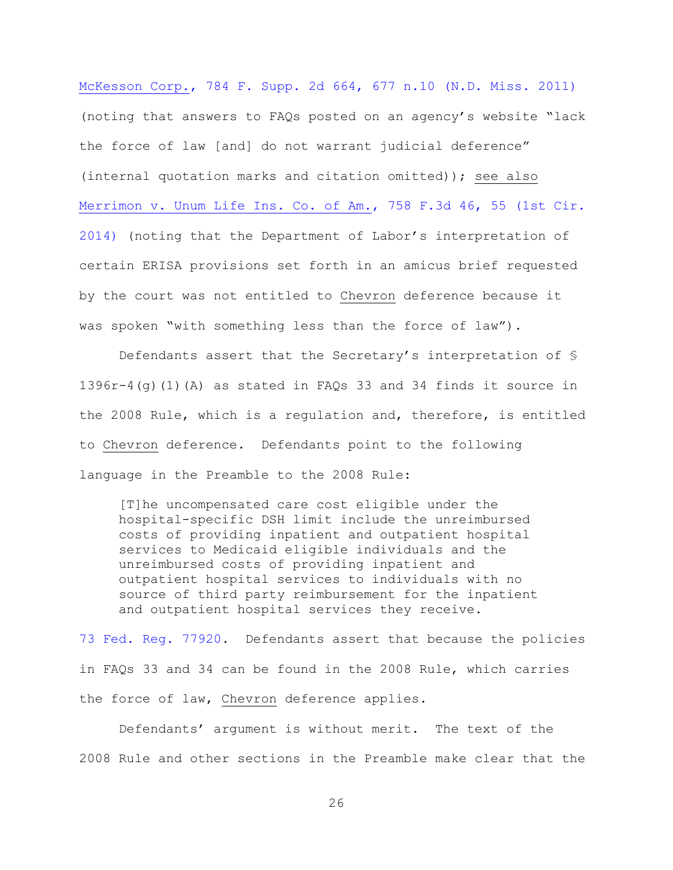[McKesson Corp., 784 F. Supp. 2d 664, 677 n.10 \(N.D. Miss. 2011\)](https://www.westlaw.com/Document/I1dcaadc95b7811e0a8a2938374af9660/View/FullText.html?transitionType=Default&contextData=(sc.Default)&VR=3.0&RS=da3.0&fragmentIdentifier=co_pp_sp_4637_677+n.10) (noting that answers to FAQs posted on an agency's website "lack the force of law [and] do not warrant judicial deference" (internal quotation marks and citation omitted)); see also [Merrimon v. Unum Life Ins. Co. of Am., 758 F.3d 46, 55 \(1st Cir.](https://www.westlaw.com/Document/I8f05ef70024411e4b4bafa136b480ad2/View/FullText.html?transitionType=Default&contextData=(sc.Default)&VR=3.0&RS=da3.0&fragmentIdentifier=co_pp_sp_506_55)  [2014\)](https://www.westlaw.com/Document/I8f05ef70024411e4b4bafa136b480ad2/View/FullText.html?transitionType=Default&contextData=(sc.Default)&VR=3.0&RS=da3.0&fragmentIdentifier=co_pp_sp_506_55) (noting that the Department of Labor's interpretation of certain ERISA provisions set forth in an amicus brief requested by the court was not entitled to Chevron deference because it was spoken "with something less than the force of law").

Defendants assert that the Secretary's interpretation of §  $1396r-4$  (g) (1) (A) as stated in FAOs 33 and 34 finds it source in the 2008 Rule, which is a regulation and, therefore, is entitled to Chevron deference. Defendants point to the following language in the Preamble to the 2008 Rule:

[T]he uncompensated care cost eligible under the hospital-specific DSH limit include the unreimbursed costs of providing inpatient and outpatient hospital services to Medicaid eligible individuals and the unreimbursed costs of providing inpatient and outpatient hospital services to individuals with no source of third party reimbursement for the inpatient and outpatient hospital services they receive.

[73 Fed. Reg. 77920.](https://www.westlaw.com/Document/I9CB1DD20CDC011DD9F11ED401CBBBEC8/View/FullText.html?transitionType=Default&contextData=(sc.Default)&VR=3.0&RS=da3.0) Defendants assert that because the policies in FAQs 33 and 34 can be found in the 2008 Rule, which carries the force of law, Chevron deference applies.

Defendants' argument is without merit. The text of the 2008 Rule and other sections in the Preamble make clear that the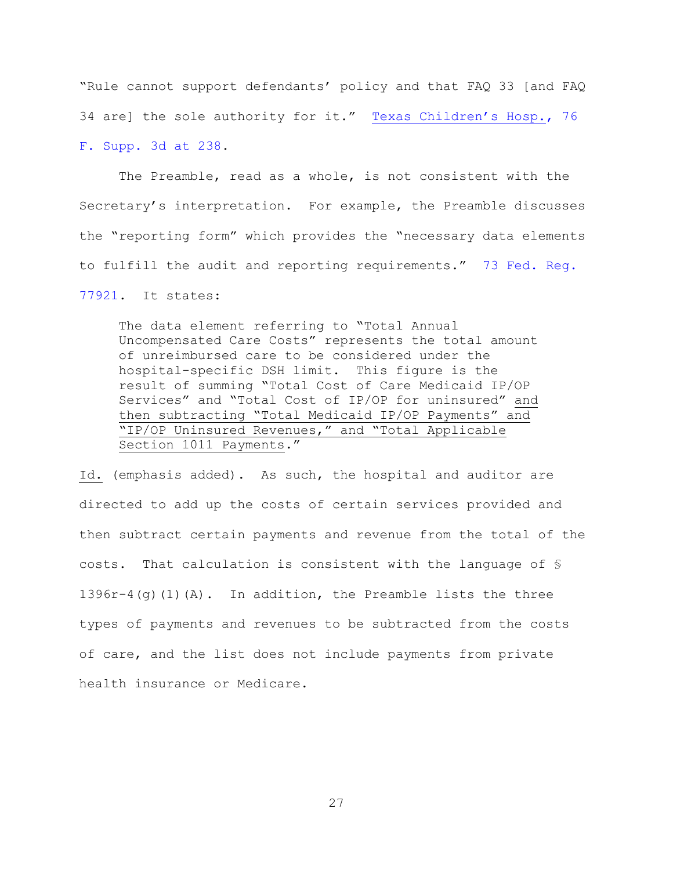"Rule cannot support defendants' policy and that FAQ 33 [and FAQ 34 are] the sole authority for it." [Texas Children's Hosp.](https://www.westlaw.com/Document/I242e7e308fca11e4b603cc772dfc08c3/View/FullText.html?transitionType=Default&contextData=(sc.Default)&VR=3.0&RS=da3.0&fragmentIdentifier=co_pp_sp_7903_238), 76 [F. Supp. 3d at 238.](https://www.westlaw.com/Document/I242e7e308fca11e4b603cc772dfc08c3/View/FullText.html?transitionType=Default&contextData=(sc.Default)&VR=3.0&RS=da3.0&fragmentIdentifier=co_pp_sp_7903_238)

The Preamble, read as a whole, is not consistent with the Secretary's interpretation. For example, the Preamble discusses the "reporting form" which provides the "necessary data elements to fulfill the audit and reporting requirements." [73 Fed. Reg.](https://www.westlaw.com/Document/I9CB1DD20CDC011DD9F11ED401CBBBEC8/View/FullText.html?transitionType=Default&contextData=(sc.Default)&VR=3.0&RS=da3.0) 

[77921.](https://www.westlaw.com/Document/I9CB1DD20CDC011DD9F11ED401CBBBEC8/View/FullText.html?transitionType=Default&contextData=(sc.Default)&VR=3.0&RS=da3.0) It states:

The data element referring to "Total Annual Uncompensated Care Costs" represents the total amount of unreimbursed care to be considered under the hospital-specific DSH limit. This figure is the result of summing "Total Cost of Care Medicaid IP/OP Services" and "Total Cost of IP/OP for uninsured" and then subtracting "Total Medicaid IP/OP Payments" and "IP/OP Uninsured Revenues," and "Total Applicable Section 1011 Payments."

Id. (emphasis added). As such, the hospital and auditor are directed to add up the costs of certain services provided and then subtract certain payments and revenue from the total of the costs. That calculation is consistent with the language of §  $1396r-4$  (q)(1)(A). In addition, the Preamble lists the three types of payments and revenues to be subtracted from the costs of care, and the list does not include payments from private health insurance or Medicare.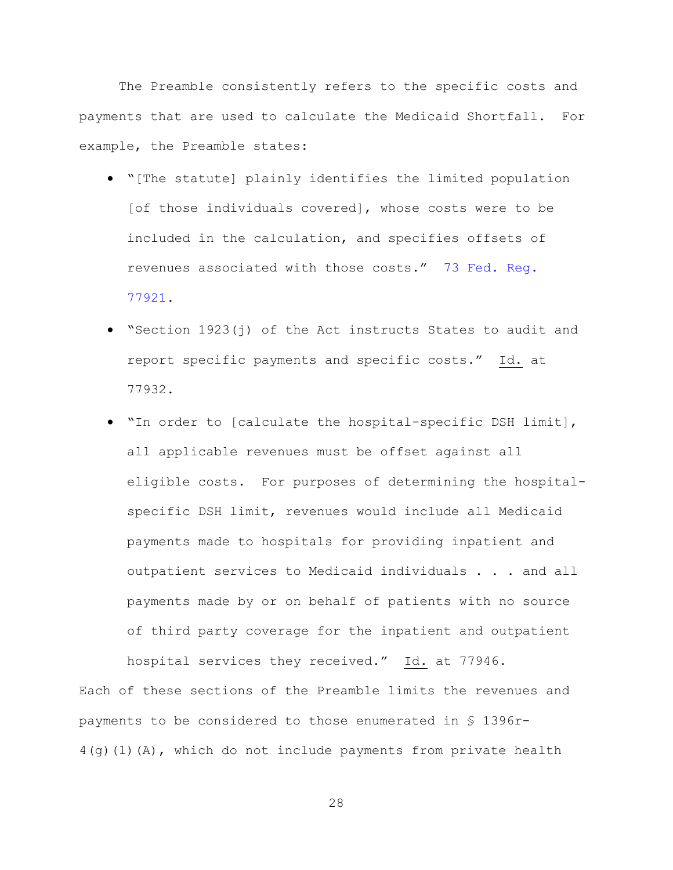The Preamble consistently refers to the specific costs and payments that are used to calculate the Medicaid Shortfall. For example, the Preamble states:

- "[The statute] plainly identifies the limited population [of those individuals covered], whose costs were to be included in the calculation, and specifies offsets of revenues associated with those costs." [73 Fed. Reg.](https://www.westlaw.com/Document/I9CB1DD20CDC011DD9F11ED401CBBBEC8/View/FullText.html?transitionType=Default&contextData=(sc.Default)&VR=3.0&RS=da3.0)  [77921.](https://www.westlaw.com/Document/I9CB1DD20CDC011DD9F11ED401CBBBEC8/View/FullText.html?transitionType=Default&contextData=(sc.Default)&VR=3.0&RS=da3.0)
- "Section 1923(j) of the Act instructs States to audit and report specific payments and specific costs." Id. at 77932.
- "In order to [calculate the hospital-specific DSH limit], all applicable revenues must be offset against all eligible costs. For purposes of determining the hospitalspecific DSH limit, revenues would include all Medicaid payments made to hospitals for providing inpatient and outpatient services to Medicaid individuals . . . and all payments made by or on behalf of patients with no source of third party coverage for the inpatient and outpatient

hospital services they received." Id. at 77946. Each of these sections of the Preamble limits the revenues and payments to be considered to those enumerated in § 1396r-4(g)(1)(A), which do not include payments from private health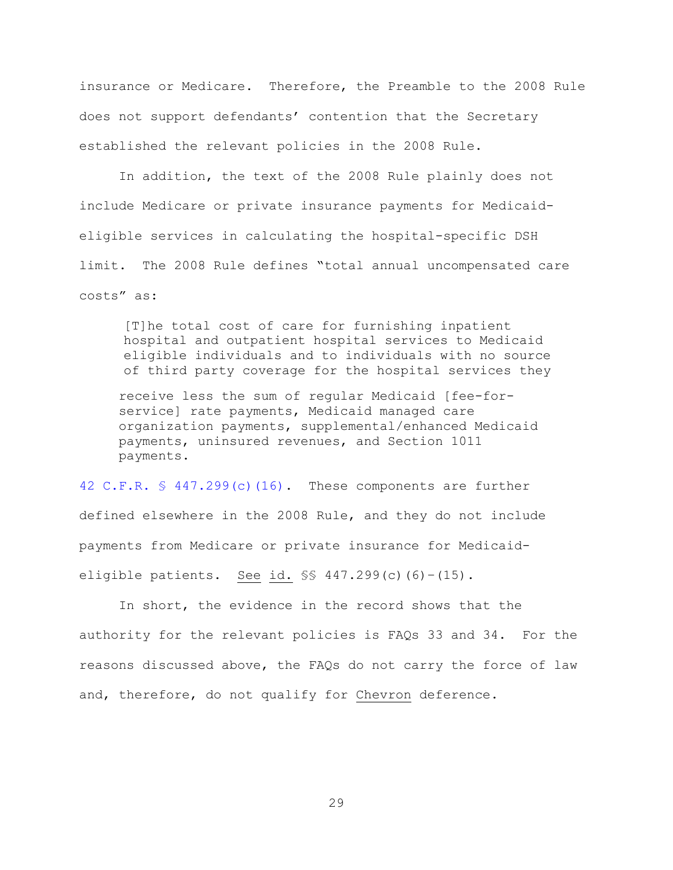insurance or Medicare. Therefore, the Preamble to the 2008 Rule does not support defendants' contention that the Secretary established the relevant policies in the 2008 Rule.

In addition, the text of the 2008 Rule plainly does not include Medicare or private insurance payments for Medicaideligible services in calculating the hospital-specific DSH limit. The 2008 Rule defines "total annual uncompensated care costs" as:

[T]he total cost of care for furnishing inpatient hospital and outpatient hospital services to Medicaid eligible individuals and to individuals with no source of third party coverage for the hospital services they

receive less the sum of regular Medicaid [fee-forservice] rate payments, Medicaid managed care organization payments, supplemental/enhanced Medicaid payments, uninsured revenues, and Section 1011 payments.

[42 C.F.R. § 447.299\(c\)\(16\).](https://www.westlaw.com/Document/NF302DB51508511E3AEF7D1036AD3B754/View/FullText.html?transitionType=Default&contextData=(sc.Default)&VR=3.0&RS=da3.0) These components are further defined elsewhere in the 2008 Rule, and they do not include payments from Medicare or private insurance for Medicaideligible patients. See id. §§ 447.299(c)(6)–(15).

In short, the evidence in the record shows that the authority for the relevant policies is FAQs 33 and 34. For the reasons discussed above, the FAQs do not carry the force of law and, therefore, do not qualify for Chevron deference.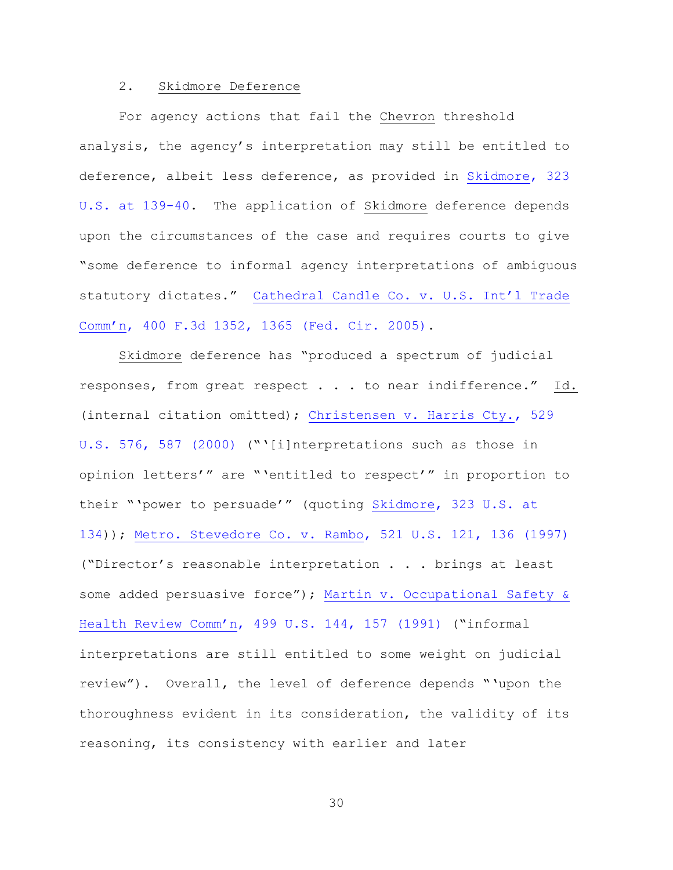### 2. Skidmore Deference

For agency actions that fail the Chevron threshold analysis, the agency's interpretation may still be entitled to deference, albeit less deference, as provided in [Skidmore, 323](https://www.westlaw.com/Document/I177939439c1f11d993e6d35cc61aab4a/View/FullText.html?transitionType=Default&contextData=(sc.Default)&VR=3.0&RS=da3.0&fragmentIdentifier=co_pp_sp_780_139)  [U.S. at 139-40.](https://www.westlaw.com/Document/I177939439c1f11d993e6d35cc61aab4a/View/FullText.html?transitionType=Default&contextData=(sc.Default)&VR=3.0&RS=da3.0&fragmentIdentifier=co_pp_sp_780_139) The application of Skidmore deference depends upon the circumstances of the case and requires courts to give "some deference to informal agency interpretations of ambiguous statutory dictates." [Cathedral Candle Co. v. U.S. Int'l Trade](https://www.westlaw.com/Document/Ib6bca07590f611d993e6d35cc61aab4a/View/FullText.html?transitionType=Default&contextData=(sc.Default)&VR=3.0&RS=da3.0&fragmentIdentifier=co_pp_sp_506_1365)  Comm'n[, 400 F.3d 1352, 1365 \(Fed. Cir. 2005\).](https://www.westlaw.com/Document/Ib6bca07590f611d993e6d35cc61aab4a/View/FullText.html?transitionType=Default&contextData=(sc.Default)&VR=3.0&RS=da3.0&fragmentIdentifier=co_pp_sp_506_1365)

Skidmore deference has "produced a spectrum of judicial responses, from great respect . . . to near indifference." Id. (internal citation omitted); [Christensen v. Harris Cty., 529](https://www.westlaw.com/Document/Ibde896819c2511d9bc61beebb95be672/View/FullText.html?transitionType=Default&contextData=(sc.Default)&VR=3.0&RS=da3.0&fragmentIdentifier=co_pp_sp_780_587)  [U.S. 576, 587 \(2000\)](https://www.westlaw.com/Document/Ibde896819c2511d9bc61beebb95be672/View/FullText.html?transitionType=Default&contextData=(sc.Default)&VR=3.0&RS=da3.0&fragmentIdentifier=co_pp_sp_780_587) ("'[i]nterpretations such as those in opinion letters'" are "'entitled to respect'" in proportion to their "'power to persuade'" (quoting [Skidmore, 323 U.S. at](https://www.westlaw.com/Document/I177939439c1f11d993e6d35cc61aab4a/View/FullText.html?transitionType=Default&contextData=(sc.Default)&VR=3.0&RS=da3.0&fragmentIdentifier=co_pp_sp_780_134)  [134\)](https://www.westlaw.com/Document/I177939439c1f11d993e6d35cc61aab4a/View/FullText.html?transitionType=Default&contextData=(sc.Default)&VR=3.0&RS=da3.0&fragmentIdentifier=co_pp_sp_780_134)); [Metro. Stevedore Co. v. Rambo, 521 U.S. 121, 136 \(1997\)](https://www.westlaw.com/Document/I6b25e97f9c2511d9bc61beebb95be672/View/FullText.html?transitionType=Default&contextData=(sc.Default)&VR=3.0&RS=da3.0&fragmentIdentifier=co_pp_sp_780_136) ("Director's reasonable interpretation . . . brings at least some added persuasive force"); Martin v. Occupational Safety & Health Review Comm'n[, 499 U.S. 144, 157 \(1991\)](https://www.westlaw.com/Document/I86305b439c9011d993e6d35cc61aab4a/View/FullText.html?transitionType=Default&contextData=(sc.Default)&VR=3.0&RS=da3.0&fragmentIdentifier=co_pp_sp_780_157) ("informal interpretations are still entitled to some weight on judicial review"). Overall, the level of deference depends "'upon the thoroughness evident in its consideration, the validity of its reasoning, its consistency with earlier and later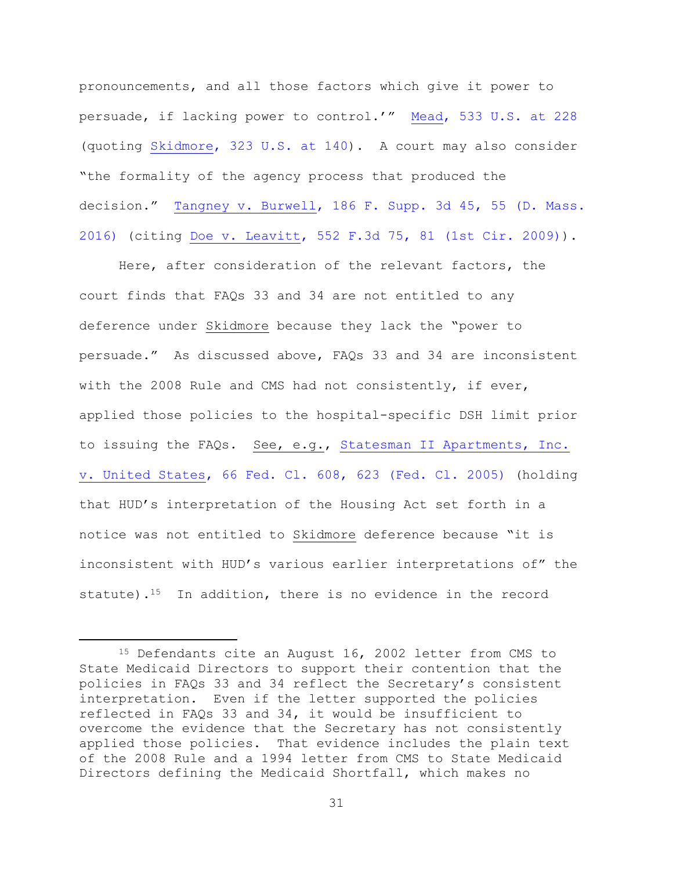pronouncements, and all those factors which give it power to persuade, if lacking power to control.'" [Mead, 533 U.S. at 228](https://www.westlaw.com/Document/Ice9f15b09c9611d993e6d35cc61aab4a/View/FullText.html?transitionType=Default&contextData=(sc.Default)&VR=3.0&RS=da3.0&fragmentIdentifier=co_pp_sp_780_228) (quoting [Skidmore, 323 U.S. at 140\)](https://www.westlaw.com/Document/I177939439c1f11d993e6d35cc61aab4a/View/FullText.html?transitionType=Default&contextData=(sc.Default)&VR=3.0&RS=da3.0&fragmentIdentifier=co_pp_sp_780_140). A court may also consider "the formality of the agency process that produced the decision." [Tangney v. Burwell, 186 F. Supp. 3d 45, 55 \(D. Mass.](https://www.westlaw.com/Document/I9c3db6f017f711e6be97c29f3a4ca000/View/FullText.html?transitionType=Default&contextData=(sc.Default)&VR=3.0&RS=da3.0&fragmentIdentifier=co_pp_sp_7903_55)  [2016\)](https://www.westlaw.com/Document/I9c3db6f017f711e6be97c29f3a4ca000/View/FullText.html?transitionType=Default&contextData=(sc.Default)&VR=3.0&RS=da3.0&fragmentIdentifier=co_pp_sp_7903_55) (citing [Doe v. Leavitt, 552 F.3d 75, 81](https://www.westlaw.com/Document/I2b6ebf67e26711ddb6a3a099756c05b7/View/FullText.html?transitionType=Default&contextData=(sc.Default)&VR=3.0&RS=da3.0&fragmentIdentifier=co_pp_sp_506_81) (1st Cir. 2009)).

Here, after consideration of the relevant factors, the court finds that FAQs 33 and 34 are not entitled to any deference under Skidmore because they lack the "power to persuade." As discussed above, FAQs 33 and 34 are inconsistent with the 2008 Rule and CMS had not consistently, if ever, applied those policies to the hospital-specific DSH limit prior to issuing the FAQs. See, e.g., [Statesman II Apartments, Inc.](https://www.westlaw.com/Document/Ie800045bf95211d99439b076ef9ec4de/View/FullText.html?transitionType=Default&contextData=(sc.Default)&VR=3.0&RS=da3.0&fragmentIdentifier=co_pp_sp_613_623)  [v. United States, 66 Fed. Cl. 608, 623 \(Fed. Cl. 2005\)](https://www.westlaw.com/Document/Ie800045bf95211d99439b076ef9ec4de/View/FullText.html?transitionType=Default&contextData=(sc.Default)&VR=3.0&RS=da3.0&fragmentIdentifier=co_pp_sp_613_623) (holding that HUD's interpretation of the Housing Act set forth in a notice was not entitled to Skidmore deference because "it is inconsistent with HUD's various earlier interpretations of" the statute).<sup>15</sup> In addition, there is no evidence in the record

<sup>15</sup> Defendants cite an August 16, 2002 letter from CMS to State Medicaid Directors to support their contention that the policies in FAQs 33 and 34 reflect the Secretary's consistent interpretation. Even if the letter supported the policies reflected in FAQs 33 and 34, it would be insufficient to overcome the evidence that the Secretary has not consistently applied those policies. That evidence includes the plain text of the 2008 Rule and a 1994 letter from CMS to State Medicaid Directors defining the Medicaid Shortfall, which makes no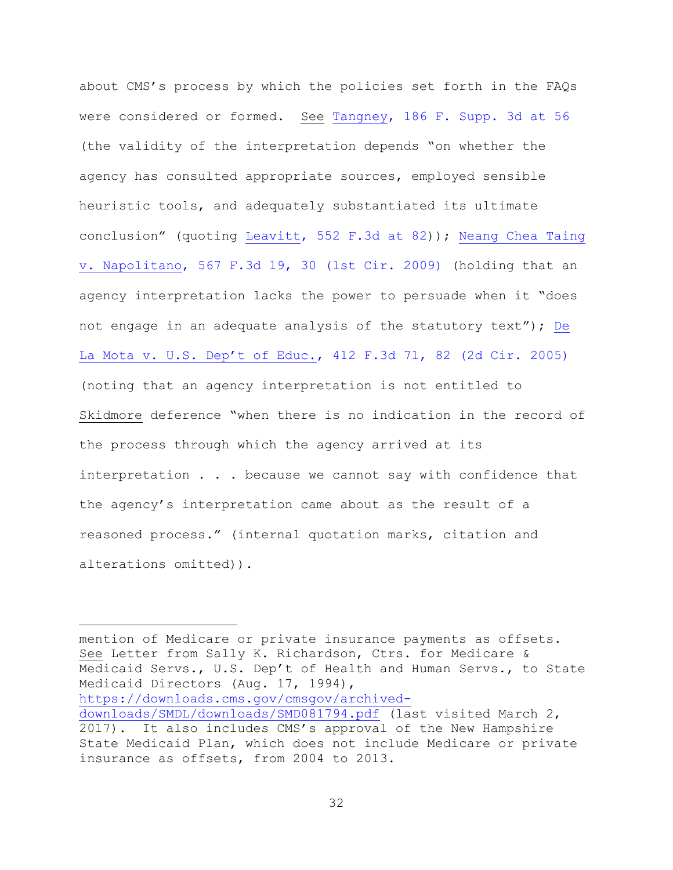about CMS's process by which the policies set forth in the FAQs were considered or formed. See [Tangney, 186 F. Supp. 3d at 56](https://www.westlaw.com/Document/I9c3db6f017f711e6be97c29f3a4ca000/View/FullText.html?transitionType=Default&contextData=(sc.Default)&VR=3.0&RS=da3.0&fragmentIdentifier=co_pp_sp_7903_56) (the validity of the interpretation depends "on whether the agency has consulted appropriate sources, employed sensible heuristic tools, and adequately substantiated its ultimate conclusion" (quoting [Leavitt, 552 F.3d at 82\)](https://www.westlaw.com/Document/I2b6ebf67e26711ddb6a3a099756c05b7/View/FullText.html?transitionType=Default&contextData=(sc.Default)&VR=3.0&RS=da3.0&fragmentIdentifier=co_pp_sp_506_82)); [Neang Chea Taing](https://www.westlaw.com/Document/Ib6844083455911dea82ab9f4ee295c21/View/FullText.html?transitionType=Default&contextData=(sc.Default)&VR=3.0&RS=da3.0&fragmentIdentifier=co_pp_sp_506_30)  [v. Napolitano, 567 F.3d 19, 30 \(1st Cir. 2009\)](https://www.westlaw.com/Document/Ib6844083455911dea82ab9f4ee295c21/View/FullText.html?transitionType=Default&contextData=(sc.Default)&VR=3.0&RS=da3.0&fragmentIdentifier=co_pp_sp_506_30) (holding that an agency interpretation lacks the power to persuade when it "does not engage in an adequate analysis of the statutory text"); [De](https://www.westlaw.com/Document/I3c0627e3dd0d11d9a489ee624f1f6e1a/View/FullText.html?transitionType=Default&contextData=(sc.Default)&VR=3.0&RS=da3.0&fragmentIdentifier=co_pp_sp_506_82)  [La Mota v. U.S. Dep't of Educ.](https://www.westlaw.com/Document/I3c0627e3dd0d11d9a489ee624f1f6e1a/View/FullText.html?transitionType=Default&contextData=(sc.Default)&VR=3.0&RS=da3.0&fragmentIdentifier=co_pp_sp_506_82), 412 F.3d 71, 82 (2d Cir. 2005) (noting that an agency interpretation is not entitled to Skidmore deference "when there is no indication in the record of the process through which the agency arrived at its interpretation . . . because we cannot say with confidence that the agency's interpretation came about as the result of a reasoned process." (internal quotation marks, citation and alterations omitted)).

mention of Medicare or private insurance payments as offsets. See Letter from Sally K. Richardson, Ctrs. for Medicare & Medicaid Servs., U.S. Dep't of Health and Human Servs., to State Medicaid Directors (Aug. 17, 1994), [https://downloads.cms.gov/cmsgov/archived](https://downloads.cms.gov/cmsgov/archived-downloads/SMDL/downloads/SMD081794.pdf)[downloads/SMDL/downloads/SMD081794.pdf](https://downloads.cms.gov/cmsgov/archived-downloads/SMDL/downloads/SMD081794.pdf) (last visited March 2, 2017). It also includes CMS's approval of the New Hampshire State Medicaid Plan, which does not include Medicare or private insurance as offsets, from 2004 to 2013.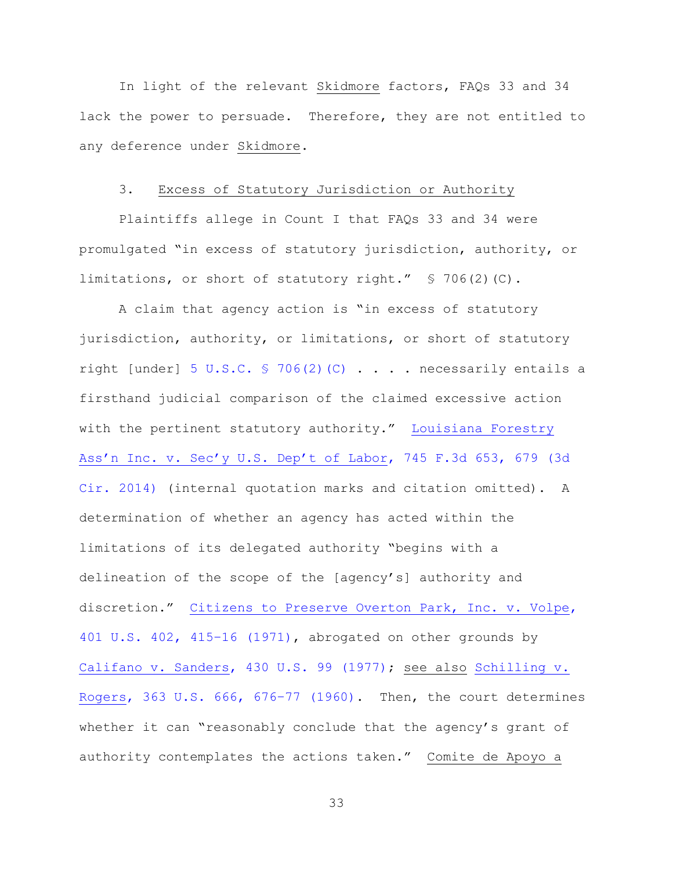In light of the relevant Skidmore factors, FAQs 33 and 34 lack the power to persuade. Therefore, they are not entitled to any deference under Skidmore.

# 3. Excess of Statutory Jurisdiction or Authority

Plaintiffs allege in Count I that FAQs 33 and 34 were promulgated "in excess of statutory jurisdiction, authority, or limitations, or short of statutory right." § 706(2)(C).

A claim that agency action is "in excess of statutory jurisdiction, authority, or limitations, or short of statutory right [under] [5 U.S.C. § 706\(2\)\(C\)](https://www.westlaw.com/Document/NB66076C0A84311D885E288E02FD16EE7/View/FullText.html?transitionType=Default&contextData=(sc.Default)&VR=3.0&RS=da3.0)  $\ldots$  . . necessarily entails a firsthand judicial comparison of the claimed excessive action with the pertinent statutory authority." [Louisiana Forestry](https://www.westlaw.com/Document/I37c84cd18e9211e38914df21cb42a557/View/FullText.html?transitionType=Default&contextData=(sc.Default)&VR=3.0&RS=da3.0&fragmentIdentifier=co_pp_sp_506_679)  [Ass'n Inc. v. Sec'y U.S. Dep't of Labor](https://www.westlaw.com/Document/I37c84cd18e9211e38914df21cb42a557/View/FullText.html?transitionType=Default&contextData=(sc.Default)&VR=3.0&RS=da3.0&fragmentIdentifier=co_pp_sp_506_679), 745 F.3d 653, 679 (3d [Cir. 2014\)](https://www.westlaw.com/Document/I37c84cd18e9211e38914df21cb42a557/View/FullText.html?transitionType=Default&contextData=(sc.Default)&VR=3.0&RS=da3.0&fragmentIdentifier=co_pp_sp_506_679) (internal quotation marks and citation omitted). A determination of whether an agency has acted within the limitations of its delegated authority "begins with a delineation of the scope of the [agency's] authority and discretion." [Citizens to Preserve Overton Park, Inc. v. Volpe,](https://www.westlaw.com/Document/I178a29339c1f11d993e6d35cc61aab4a/View/FullText.html?transitionType=Default&contextData=(sc.Default)&VR=3.0&RS=da3.0&fragmentIdentifier=co_pp_sp_780_415%e2%80%9316)  [401 U.S. 402, 415](https://www.westlaw.com/Document/I178a29339c1f11d993e6d35cc61aab4a/View/FullText.html?transitionType=Default&contextData=(sc.Default)&VR=3.0&RS=da3.0&fragmentIdentifier=co_pp_sp_780_415%e2%80%9316)–16 (1971), abrogated on other grounds by [Califano v. Sanders, 430 U.S. 99 \(1977\);](https://www.westlaw.com/Document/I65060b739c9711d9bc61beebb95be672/View/FullText.html?transitionType=Default&contextData=(sc.Default)&VR=3.0&RS=da3.0) see also [Schilling v.](https://www.westlaw.com/Document/I22229b9b9bf011d993e6d35cc61aab4a/View/FullText.html?transitionType=Default&contextData=(sc.Default)&VR=3.0&RS=da3.0&fragmentIdentifier=co_pp_sp_780_676%e2%80%9377)  [Rogers, 363 U.S. 666, 676](https://www.westlaw.com/Document/I22229b9b9bf011d993e6d35cc61aab4a/View/FullText.html?transitionType=Default&contextData=(sc.Default)&VR=3.0&RS=da3.0&fragmentIdentifier=co_pp_sp_780_676%e2%80%9377)–77 (1960). Then, the court determines whether it can "reasonably conclude that the agency's grant of authority contemplates the actions taken." Comite de Apoyo a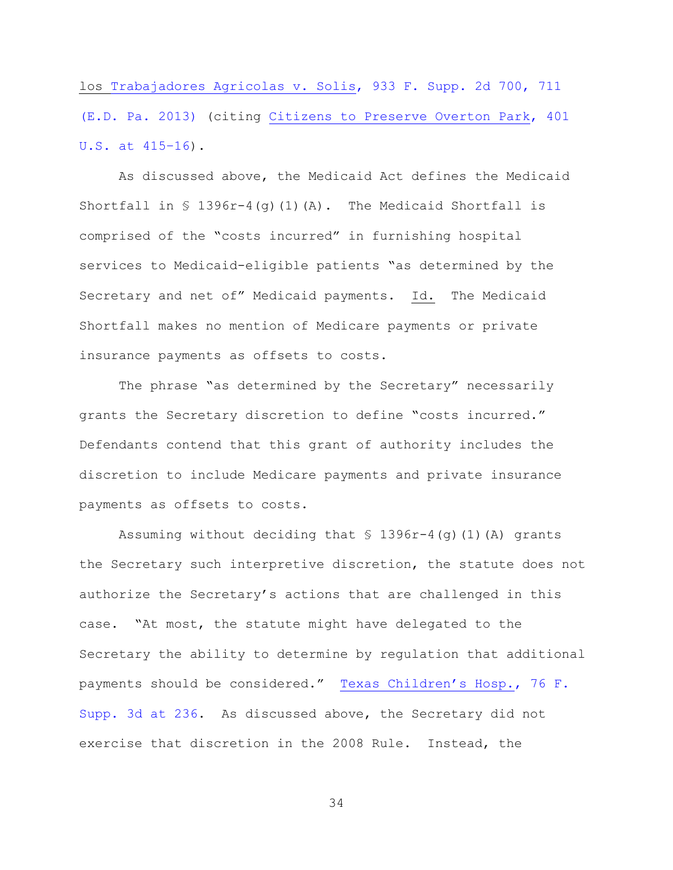los [Trabajadores Agricolas v. Solis, 933 F. Supp. 2d 700, 711](https://www.westlaw.com/Document/Ia588816392ec11e2a98ec867961a22de/View/FullText.html?transitionType=Default&contextData=(sc.Default)&VR=3.0&RS=da3.0&fragmentIdentifier=co_pp_sp_4637_711)  [\(E.D. Pa. 2013\)](https://www.westlaw.com/Document/Ia588816392ec11e2a98ec867961a22de/View/FullText.html?transitionType=Default&contextData=(sc.Default)&VR=3.0&RS=da3.0&fragmentIdentifier=co_pp_sp_4637_711) (citing [Citizens to Preserve Overton Park, 401](https://www.westlaw.com/Document/I178a29339c1f11d993e6d35cc61aab4a/View/FullText.html?transitionType=Default&contextData=(sc.Default)&VR=3.0&RS=da3.0&fragmentIdentifier=co_pp_sp_780_415%e2%80%9316)  [U.S. at 415](https://www.westlaw.com/Document/I178a29339c1f11d993e6d35cc61aab4a/View/FullText.html?transitionType=Default&contextData=(sc.Default)&VR=3.0&RS=da3.0&fragmentIdentifier=co_pp_sp_780_415%e2%80%9316)–16).

As discussed above, the Medicaid Act defines the Medicaid Shortfall in  $\$$  1396r-4(q)(1)(A). The Medicaid Shortfall is comprised of the "costs incurred" in furnishing hospital services to Medicaid-eligible patients "as determined by the Secretary and net of" Medicaid payments. Id. The Medicaid Shortfall makes no mention of Medicare payments or private insurance payments as offsets to costs.

The phrase "as determined by the Secretary" necessarily grants the Secretary discretion to define "costs incurred." Defendants contend that this grant of authority includes the discretion to include Medicare payments and private insurance payments as offsets to costs.

Assuming without deciding that  $\frac{1}{2}$  1396r-4(g)(1)(A) grants the Secretary such interpretive discretion, the statute does not authorize the Secretary's actions that are challenged in this case. "At most, the statute might have delegated to the Secretary the ability to determine by regulation that additional payments should be considered." [Texas Children's Hosp.](https://www.westlaw.com/Document/I242e7e308fca11e4b603cc772dfc08c3/View/FullText.html?transitionType=Default&contextData=(sc.Default)&VR=3.0&RS=da3.0&fragmentIdentifier=co_pp_sp_7903_236), 76 F. [Supp. 3d at 236.](https://www.westlaw.com/Document/I242e7e308fca11e4b603cc772dfc08c3/View/FullText.html?transitionType=Default&contextData=(sc.Default)&VR=3.0&RS=da3.0&fragmentIdentifier=co_pp_sp_7903_236) As discussed above, the Secretary did not exercise that discretion in the 2008 Rule. Instead, the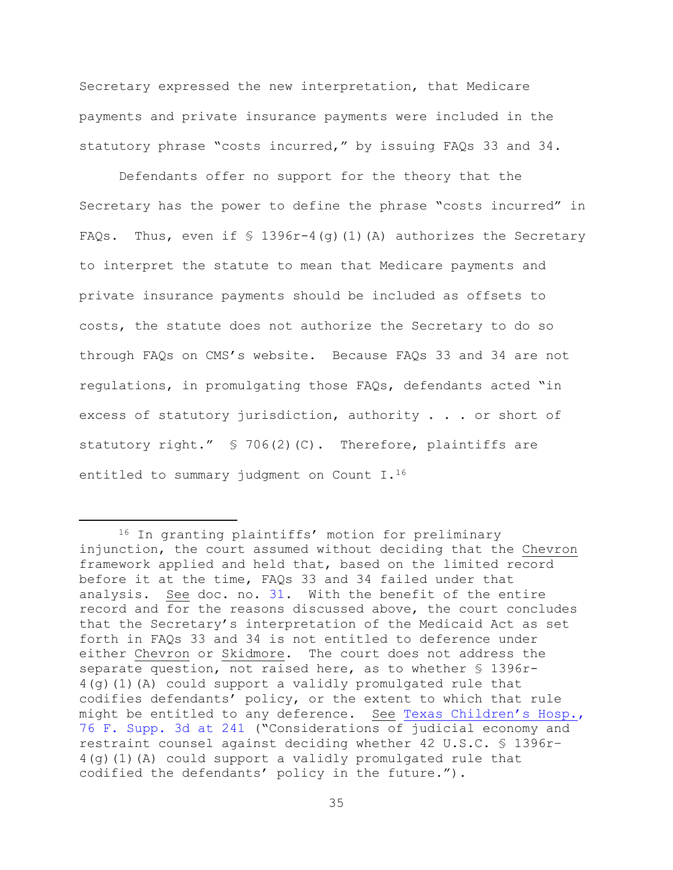Secretary expressed the new interpretation, that Medicare payments and private insurance payments were included in the statutory phrase "costs incurred," by issuing FAQs 33 and 34.

Defendants offer no support for the theory that the Secretary has the power to define the phrase "costs incurred" in FAQs. Thus, even if  $\frac{1}{5}$  1396r-4(q)(1)(A) authorizes the Secretary to interpret the statute to mean that Medicare payments and private insurance payments should be included as offsets to costs, the statute does not authorize the Secretary to do so through FAQs on CMS's website. Because FAQs 33 and 34 are not regulations, in promulgating those FAQs, defendants acted "in excess of statutory jurisdiction, authority . . . or short of statutory right."  $\leq 706(2)(C)$ . Therefore, plaintiffs are entitled to summary judgment on Count I.<sup>16</sup>

<sup>16</sup> In granting plaintiffs' motion for preliminary injunction, the court assumed without deciding that the Chevron framework applied and held that, based on the limited record before it at the time, FAQs 33 and 34 failed under that analysis. See doc. no. [31.](https://ecf.nhd.uscourts.gov/doc1/11711694608) With the benefit of the entire record and for the reasons discussed above, the court concludes that the Secretary's interpretation of the Medicaid Act as set forth in FAQs 33 and 34 is not entitled to deference under either Chevron or Skidmore. The court does not address the separate question, not raised here, as to whether § 1396r-4(g)(1)(A) could support a validly promulgated rule that codifies defendants' policy, or the extent to which that rule might be entitled to any deference. See [Texas Children's Hosp.](https://www.westlaw.com/Document/I242e7e308fca11e4b603cc772dfc08c3/View/FullText.html?transitionType=Default&contextData=(sc.Default)&VR=3.0&RS=da3.0&fragmentIdentifier=co_pp_sp_7903_241), [76 F. Supp. 3d at 241](https://www.westlaw.com/Document/I242e7e308fca11e4b603cc772dfc08c3/View/FullText.html?transitionType=Default&contextData=(sc.Default)&VR=3.0&RS=da3.0&fragmentIdentifier=co_pp_sp_7903_241) ("Considerations of judicial economy and restraint counsel against deciding whether 42 U.S.C. § 1396r– 4(g)(1)(A) could support a validly promulgated rule that codified the defendants' policy in the future.").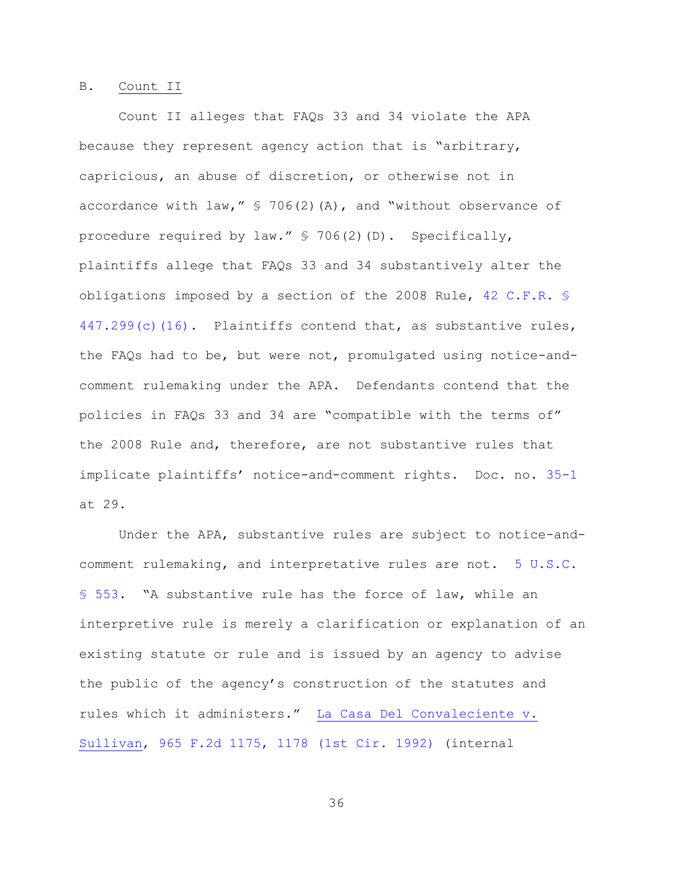#### B. Count II

Count II alleges that FAQs 33 and 34 violate the APA because they represent agency action that is "arbitrary, capricious, an abuse of discretion, or otherwise not in accordance with law,"  $\frac{1}{5}$  706(2)(A), and "without observance of procedure required by law." § 706(2)(D). Specifically, plaintiffs allege that FAQs 33 and 34 substantively alter the obligations imposed by a section of the 2008 Rule, [42 C.F.R. §](https://www.westlaw.com/Document/NF302DB51508511E3AEF7D1036AD3B754/View/FullText.html?transitionType=Default&contextData=(sc.Default)&VR=3.0&RS=da3.0)  [447.299\(c\)\(16\).](https://www.westlaw.com/Document/NF302DB51508511E3AEF7D1036AD3B754/View/FullText.html?transitionType=Default&contextData=(sc.Default)&VR=3.0&RS=da3.0) Plaintiffs contend that, as substantive rules, the FAQs had to be, but were not, promulgated using notice-andcomment rulemaking under the APA. Defendants contend that the policies in FAQs 33 and 34 are "compatible with the terms of" the 2008 Rule and, therefore, are not substantive rules that implicate plaintiffs' notice-and-comment rights. Doc. no. [35-1](https://ecf.nhd.uscourts.gov/doc1/11711722942) at 29.

Under the APA, substantive rules are subject to notice-andcomment rulemaking, and interpretative rules are not. [5 U.S.C.](https://www.westlaw.com/Document/NB33DDA00A84311D885E288E02FD16EE7/View/FullText.html?transitionType=Default&contextData=(sc.Default)&VR=3.0&RS=da3.0)  [§ 553](https://www.westlaw.com/Document/NB33DDA00A84311D885E288E02FD16EE7/View/FullText.html?transitionType=Default&contextData=(sc.Default)&VR=3.0&RS=da3.0). "A substantive rule has the force of law, while an interpretive rule is merely a clarification or explanation of an existing statute or rule and is issued by an agency to advise the public of the agency's construction of the statutes and rules which it administers." [La Casa Del Convaleciente v.](https://www.westlaw.com/Document/Ia90e545594cf11d9bdd1cfdd544ca3a4/View/FullText.html?transitionType=Default&contextData=(sc.Default)&VR=3.0&RS=da3.0&fragmentIdentifier=co_pp_sp_350_1178)  [Sullivan, 965 F.2d 1175, 1178 \(1st Cir. 1992\)](https://www.westlaw.com/Document/Ia90e545594cf11d9bdd1cfdd544ca3a4/View/FullText.html?transitionType=Default&contextData=(sc.Default)&VR=3.0&RS=da3.0&fragmentIdentifier=co_pp_sp_350_1178) (internal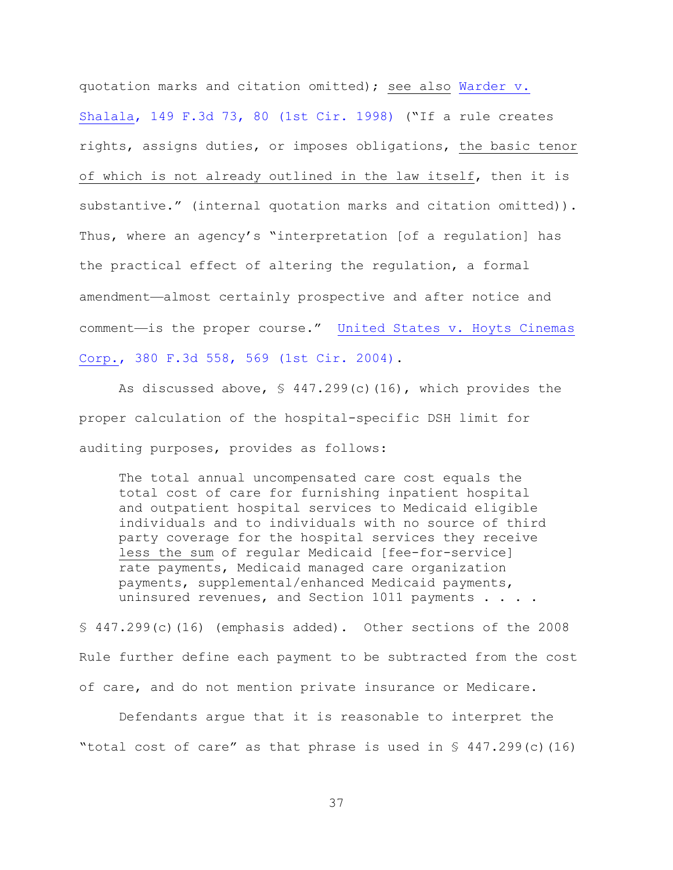quotation marks and citation omitted); see also [Warder v.](https://www.westlaw.com/Document/I4f2bad54944f11d9bc61beebb95be672/View/FullText.html?transitionType=Default&contextData=(sc.Default)&VR=3.0&RS=da3.0&fragmentIdentifier=co_pp_sp_506_80)  [Shalala, 149 F.3d 73, 80 \(1st Cir. 1998\)](https://www.westlaw.com/Document/I4f2bad54944f11d9bc61beebb95be672/View/FullText.html?transitionType=Default&contextData=(sc.Default)&VR=3.0&RS=da3.0&fragmentIdentifier=co_pp_sp_506_80) ("If a rule creates rights, assigns duties, or imposes obligations, the basic tenor of which is not already outlined in the law itself, then it is substantive." (internal quotation marks and citation omitted)). Thus, where an agency's "interpretation [of a regulation] has the practical effect of altering the regulation, a formal amendment—almost certainly prospective and after notice and comment—is the proper course." [United States v. Hoyts Cinemas](https://www.westlaw.com/Document/I3529b1108bb011d99dcc8cc3e68b51e9/View/FullText.html?transitionType=Default&contextData=(sc.Default)&VR=3.0&RS=da3.0&fragmentIdentifier=co_pp_sp_506_569)  [Corp., 380 F.3d 558, 569 \(1st Cir. 2004\).](https://www.westlaw.com/Document/I3529b1108bb011d99dcc8cc3e68b51e9/View/FullText.html?transitionType=Default&contextData=(sc.Default)&VR=3.0&RS=da3.0&fragmentIdentifier=co_pp_sp_506_569)

As discussed above, § 447.299(c)(16), which provides the proper calculation of the hospital-specific DSH limit for auditing purposes, provides as follows:

The total annual uncompensated care cost equals the total cost of care for furnishing inpatient hospital and outpatient hospital services to Medicaid eligible individuals and to individuals with no source of third party coverage for the hospital services they receive less the sum of regular Medicaid [fee-for-service] rate payments, Medicaid managed care organization payments, supplemental/enhanced Medicaid payments, uninsured revenues, and Section 1011 payments . . . .

§ 447.299(c)(16) (emphasis added). Other sections of the 2008 Rule further define each payment to be subtracted from the cost of care, and do not mention private insurance or Medicare.

Defendants argue that it is reasonable to interpret the "total cost of care" as that phrase is used in  $\S$  447.299(c)(16)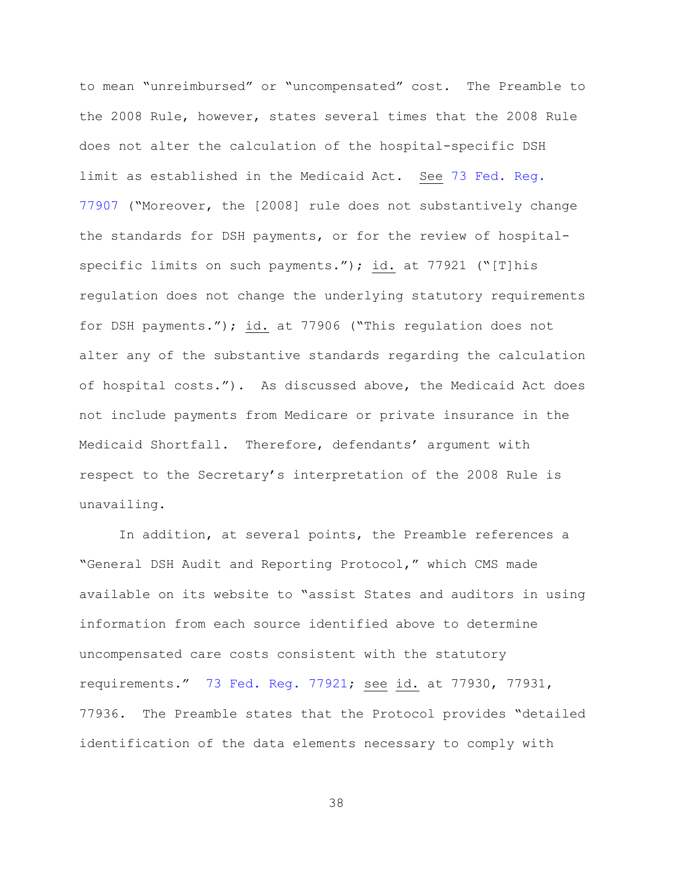to mean "unreimbursed" or "uncompensated" cost. The Preamble to the 2008 Rule, however, states several times that the 2008 Rule does not alter the calculation of the hospital-specific DSH limit as established in the Medicaid Act. See [73 Fed. Reg.](https://www.westlaw.com/Document/I9CB1DD20CDC011DD9F11ED401CBBBEC8/View/FullText.html?transitionType=Default&contextData=(sc.Default)&VR=3.0&RS=da3.0)  [77907](https://www.westlaw.com/Document/I9CB1DD20CDC011DD9F11ED401CBBBEC8/View/FullText.html?transitionType=Default&contextData=(sc.Default)&VR=3.0&RS=da3.0) ("Moreover, the [2008] rule does not substantively change the standards for DSH payments, or for the review of hospitalspecific limits on such payments."); id. at 77921 ("[T]his regulation does not change the underlying statutory requirements for DSH payments."); id. at 77906 ("This regulation does not alter any of the substantive standards regarding the calculation of hospital costs."). As discussed above, the Medicaid Act does not include payments from Medicare or private insurance in the Medicaid Shortfall. Therefore, defendants' argument with respect to the Secretary's interpretation of the 2008 Rule is unavailing.

In addition, at several points, the Preamble references a "General DSH Audit and Reporting Protocol," which CMS made available on its website to "assist States and auditors in using information from each source identified above to determine uncompensated care costs consistent with the statutory requirements." [73 Fed. Reg. 77921;](https://www.westlaw.com/Document/I9CB1DD20CDC011DD9F11ED401CBBBEC8/View/FullText.html?transitionType=Default&contextData=(sc.Default)&VR=3.0&RS=da3.0) see id. at 77930, 77931, 77936. The Preamble states that the Protocol provides "detailed identification of the data elements necessary to comply with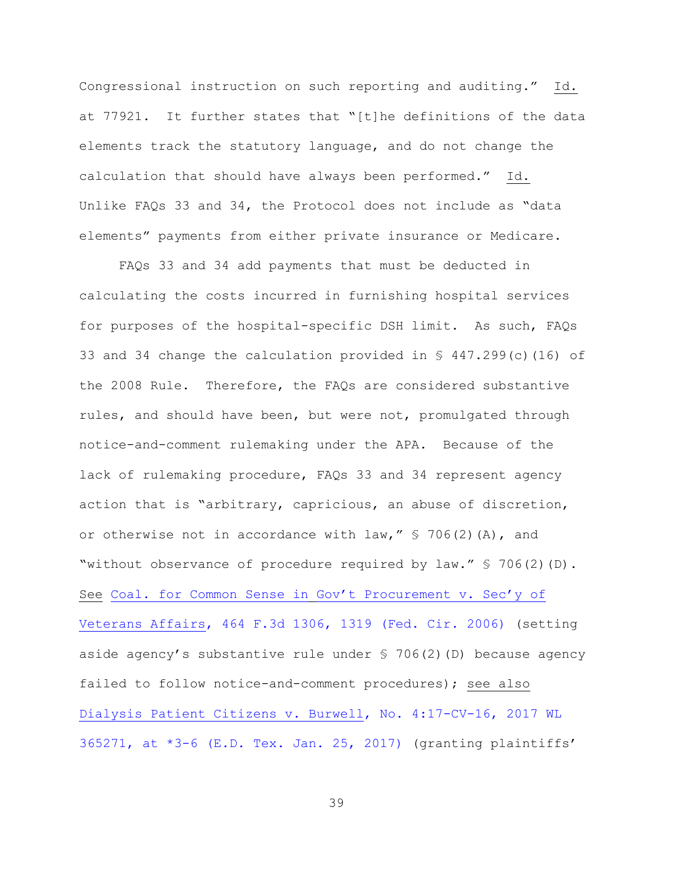Congressional instruction on such reporting and auditing." Id. at 77921. It further states that "[t]he definitions of the data elements track the statutory language, and do not change the calculation that should have always been performed." Id. Unlike FAQs 33 and 34, the Protocol does not include as "data elements" payments from either private insurance or Medicare.

FAQs 33 and 34 add payments that must be deducted in calculating the costs incurred in furnishing hospital services for purposes of the hospital-specific DSH limit. As such, FAQs 33 and 34 change the calculation provided in § 447.299(c)(16) of the 2008 Rule. Therefore, the FAQs are considered substantive rules, and should have been, but were not, promulgated through notice-and-comment rulemaking under the APA. Because of the lack of rulemaking procedure, FAQs 33 and 34 represent agency action that is "arbitrary, capricious, an abuse of discretion, or otherwise not in accordance with law,  $''$  \$ 706(2)(A), and "without observance of procedure required by law." § 706(2)(D). See [Coal. for Common Sense in](https://www.westlaw.com/Document/I19a9abc341a911db80c2e56cac103088/View/FullText.html?transitionType=Default&contextData=(sc.Default)&VR=3.0&RS=da3.0&fragmentIdentifier=co_pp_sp_506_1319) [Gov't Procurement v. Sec'y of](https://www.westlaw.com/Document/I19a9abc341a911db80c2e56cac103088/View/FullText.html?transitionType=Default&contextData=(sc.Default)&VR=3.0&RS=da3.0&fragmentIdentifier=co_pp_sp_506_1319)  [Veterans Affairs, 464 F.3d 1306, 1319 \(Fed. Cir. 2006\)](https://www.westlaw.com/Document/I19a9abc341a911db80c2e56cac103088/View/FullText.html?transitionType=Default&contextData=(sc.Default)&VR=3.0&RS=da3.0&fragmentIdentifier=co_pp_sp_506_1319) (setting aside agency's substantive rule under § 706(2)(D) because agency failed to follow notice-and-comment procedures); see also [Dialysis Patient Citizens v. Burwell, No. 4:17-CV-16, 2017 WL](https://www.westlaw.com/Document/I8e757a00e3dd11e69f02f3f03f61dd4d/View/FullText.html?transitionType=Default&contextData=(sc.Default)&VR=3.0&RS=da3.0&fragmentIdentifier=co_pp_sp_999_3)   $365271$ , at  $*3-6$  (E.D. Tex. Jan. 25, 2017) (granting plaintiffs'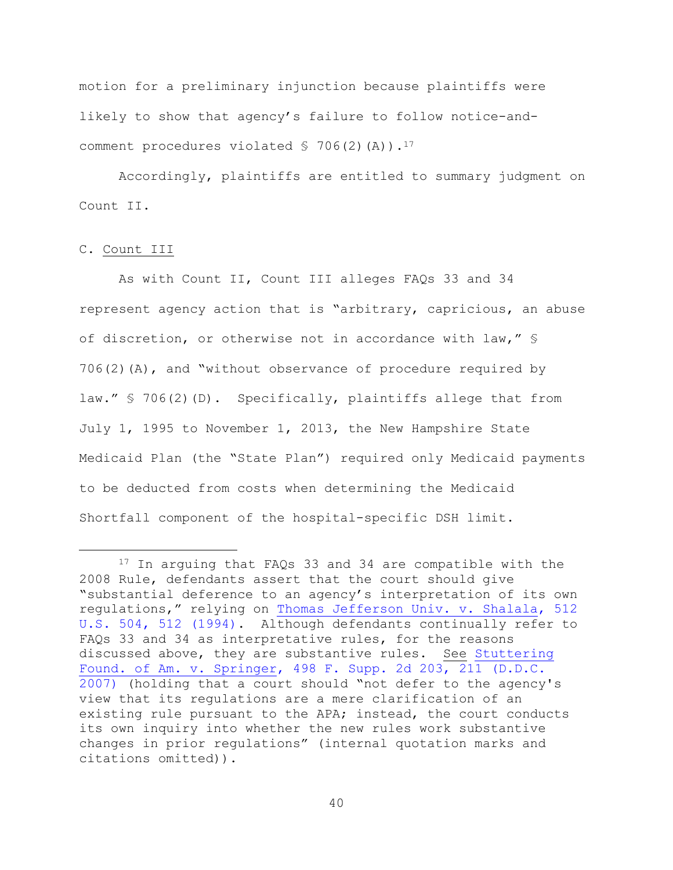motion for a preliminary injunction because plaintiffs were likely to show that agency's failure to follow notice-andcomment procedures violated  $$706(2)(A))$ .<sup>17</sup>

Accordingly, plaintiffs are entitled to summary judgment on Count II.

## C. Count III

a<br>B

As with Count II, Count III alleges FAQs 33 and 34 represent agency action that is "arbitrary, capricious, an abuse of discretion, or otherwise not in accordance with law," §  $706(2)$  (A), and "without observance of procedure required by law." § 706(2)(D). Specifically, plaintiffs allege that from July 1, 1995 to November 1, 2013, the New Hampshire State Medicaid Plan (the "State Plan") required only Medicaid payments to be deducted from costs when determining the Medicaid Shortfall component of the hospital-specific DSH limit.

<sup>&</sup>lt;sup>17</sup> In arguing that FAQs 33 and 34 are compatible with the 2008 Rule, defendants assert that the court should give "substantial deference to an agency's interpretation of its own regulations," relying on [Thomas Jefferson Univ. v. Shalala, 512](https://www.westlaw.com/Document/I1d1e25999c9711d993e6d35cc61aab4a/View/FullText.html?transitionType=Default&contextData=(sc.Default)&VR=3.0&RS=da3.0&fragmentIdentifier=co_pp_sp_780_512)  [U.S. 504, 512 \(1994\).](https://www.westlaw.com/Document/I1d1e25999c9711d993e6d35cc61aab4a/View/FullText.html?transitionType=Default&contextData=(sc.Default)&VR=3.0&RS=da3.0&fragmentIdentifier=co_pp_sp_780_512) Although defendants continually refer to FAQs 33 and 34 as interpretative rules, for the reasons discussed above, they are substantive rules. See [Stuttering](https://www.westlaw.com/Document/I5dade7873f9411dca1e6fa81e64372bf/View/FullText.html?transitionType=Default&contextData=(sc.Default)&VR=3.0&RS=da3.0&fragmentIdentifier=co_pp_sp_4637_211)  [Found. of Am. v. Springer, 498 F. Supp. 2d 203, 211 \(D.D.C.](https://www.westlaw.com/Document/I5dade7873f9411dca1e6fa81e64372bf/View/FullText.html?transitionType=Default&contextData=(sc.Default)&VR=3.0&RS=da3.0&fragmentIdentifier=co_pp_sp_4637_211)  [2007\)](https://www.westlaw.com/Document/I5dade7873f9411dca1e6fa81e64372bf/View/FullText.html?transitionType=Default&contextData=(sc.Default)&VR=3.0&RS=da3.0&fragmentIdentifier=co_pp_sp_4637_211) (holding that a court should "not defer to the agency's view that its regulations are a mere clarification of an existing rule pursuant to the APA; instead, the court conducts its own inquiry into whether the new rules work substantive changes in prior regulations" (internal quotation marks and citations omitted)).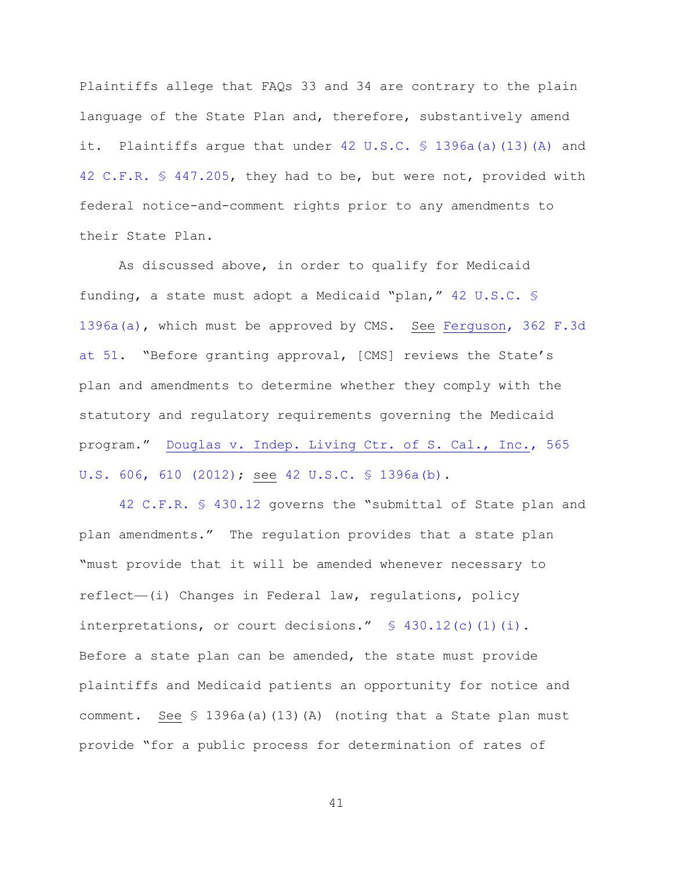Plaintiffs allege that FAQs 33 and 34 are contrary to the plain language of the State Plan and, therefore, substantively amend it. Plaintiffs argue that under [42 U.S.C. § 1396a\(a\)\(13\)\(A\)](https://www.westlaw.com/Document/NB9BE7C50D74611E6A4A2A2EBD71A22AE/View/FullText.html?transitionType=Default&contextData=(sc.Default)&VR=3.0&RS=da3.0) and [42 C.F.R. § 447.205,](https://www.westlaw.com/Document/N25439D91B39711E58126B48C78A797D1/View/FullText.html?transitionType=Default&contextData=(sc.Default)&VR=3.0&RS=da3.0) they had to be, but were not, provided with federal notice-and-comment rights prior to any amendments to their State Plan.

As discussed above, in order to qualify for Medicaid funding, a state must adopt a Medicaid "plan," [42 U.S.C. §](https://www.westlaw.com/Document/NB9BE7C50D74611E6A4A2A2EBD71A22AE/View/FullText.html?transitionType=Default&contextData=(sc.Default)&VR=3.0&RS=da3.0)  [1396a\(a\),](https://www.westlaw.com/Document/NB9BE7C50D74611E6A4A2A2EBD71A22AE/View/FullText.html?transitionType=Default&contextData=(sc.Default)&VR=3.0&RS=da3.0) which must be approved by CMS. See [Ferguson, 362 F.3d](https://www.westlaw.com/Document/I7d856b8289fc11d98b51ba734bfc3c79/View/FullText.html?transitionType=Default&contextData=(sc.Default)&VR=3.0&RS=da3.0&fragmentIdentifier=co_pp_sp_506_51)  [at 51](https://www.westlaw.com/Document/I7d856b8289fc11d98b51ba734bfc3c79/View/FullText.html?transitionType=Default&contextData=(sc.Default)&VR=3.0&RS=da3.0&fragmentIdentifier=co_pp_sp_506_51). "Before granting approval, [CMS] reviews the State's plan and amendments to determine whether they comply with the statutory and regulatory requirements governing the Medicaid program." [Douglas v. Indep. Living Ctr. of S. Cal., Inc., 565](https://www.westlaw.com/Document/I4c5613855d4d11e1b71fa7764cbfcb47/View/FullText.html?transitionType=Default&contextData=(sc.Default)&VR=3.0&RS=da3.0&fragmentIdentifier=co_pp_sp_780_610)  [U.S. 606, 610 \(2012\);](https://www.westlaw.com/Document/I4c5613855d4d11e1b71fa7764cbfcb47/View/FullText.html?transitionType=Default&contextData=(sc.Default)&VR=3.0&RS=da3.0&fragmentIdentifier=co_pp_sp_780_610) see [42 U.S.C. § 1396a\(b\).](https://www.westlaw.com/Document/NB9BE7C50D74611E6A4A2A2EBD71A22AE/View/FullText.html?transitionType=Default&contextData=(sc.Default)&VR=3.0&RS=da3.0)

[42 C.F.R. § 430.12](https://www.westlaw.com/Document/NCD402C50E21E11E6AFFBC5509E27790D/View/FullText.html?transitionType=Default&contextData=(sc.Default)&VR=3.0&RS=da3.0) governs the "submittal of State plan and plan amendments." The regulation provides that a state plan "must provide that it will be amended whenever necessary to reflect—(i) Changes in Federal law, regulations, policy interpretations, or court decisions."  $\frac{1}{2}$  430.12(c)(1)(i). Before a state plan can be amended, the state must provide plaintiffs and Medicaid patients an opportunity for notice and comment. See § 1396a(a)(13)(A) (noting that a State plan must provide "for a public process for determination of rates of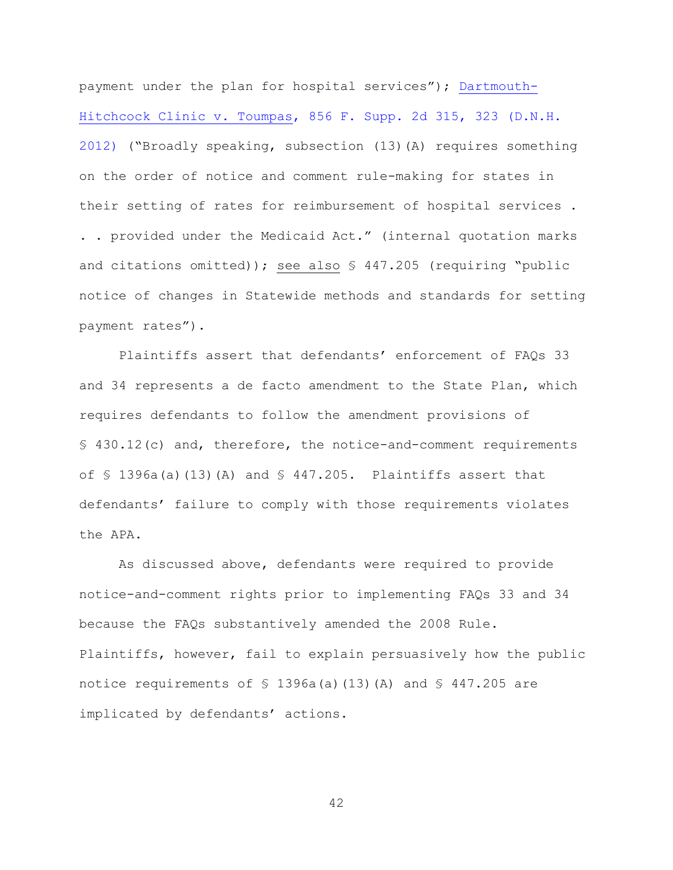payment under the plan for hospital services"); [Dartmouth-](https://www.westlaw.com/Document/Idcf1cb3164fe11e196ddf76f9be2cc49/View/FullText.html?transitionType=Default&contextData=(sc.Default)&VR=3.0&RS=da3.0&fragmentIdentifier=co_pp_sp_4637_323)[Hitchcock Clinic v. Toumpas, 856 F. Supp. 2d 315, 323 \(D.N.H.](https://www.westlaw.com/Document/Idcf1cb3164fe11e196ddf76f9be2cc49/View/FullText.html?transitionType=Default&contextData=(sc.Default)&VR=3.0&RS=da3.0&fragmentIdentifier=co_pp_sp_4637_323)  [2012\)](https://www.westlaw.com/Document/Idcf1cb3164fe11e196ddf76f9be2cc49/View/FullText.html?transitionType=Default&contextData=(sc.Default)&VR=3.0&RS=da3.0&fragmentIdentifier=co_pp_sp_4637_323) ("Broadly speaking, subsection (13)(A) requires something on the order of notice and comment rule-making for states in their setting of rates for reimbursement of hospital services . . . provided under the Medicaid Act." (internal quotation marks and citations omitted)); see also § 447.205 (requiring "public notice of changes in Statewide methods and standards for setting payment rates").

Plaintiffs assert that defendants' enforcement of FAQs 33 and 34 represents a de facto amendment to the State Plan, which requires defendants to follow the amendment provisions of § 430.12(c) and, therefore, the notice-and-comment requirements of  $\frac{1396a}{a}$  (13)(A) and  $\frac{124a}{a}$  447.205. Plaintiffs assert that defendants' failure to comply with those requirements violates the APA.

As discussed above, defendants were required to provide notice-and-comment rights prior to implementing FAQs 33 and 34 because the FAQs substantively amended the 2008 Rule. Plaintiffs, however, fail to explain persuasively how the public notice requirements of  $\frac{1396a}{a}$  (13)(A) and  $\frac{1296a}{b}$  are implicated by defendants' actions.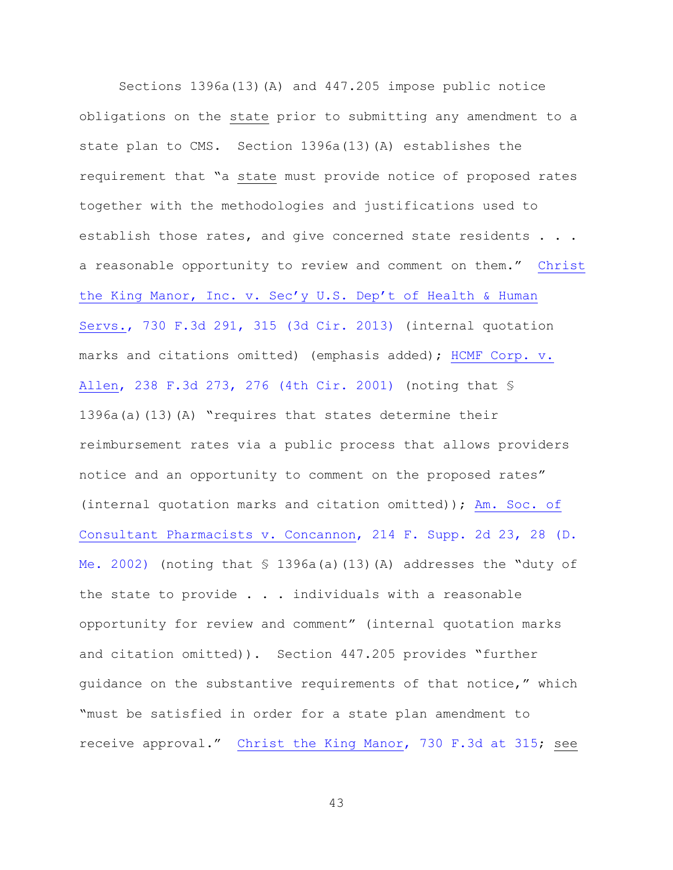Sections 1396a(13)(A) and 447.205 impose public notice obligations on the state prior to submitting any amendment to a state plan to CMS. Section 1396a(13)(A) establishes the requirement that "a state must provide notice of proposed rates together with the methodologies and justifications used to establish those rates, and give concerned state residents . . . a reasonable opportunity to review and comment on them." [Christ](https://www.westlaw.com/Document/Iee547297213211e380938e6f51729d80/View/FullText.html?transitionType=Default&contextData=(sc.Default)&VR=3.0&RS=da3.0&fragmentIdentifier=co_pp_sp_506_315)  [the King Manor, Inc. v. Sec'y U.S. Dep't of Health & Human](https://www.westlaw.com/Document/Iee547297213211e380938e6f51729d80/View/FullText.html?transitionType=Default&contextData=(sc.Default)&VR=3.0&RS=da3.0&fragmentIdentifier=co_pp_sp_506_315)  [Servs., 730 F.3d 291, 315 \(3d Cir. 2013\)](https://www.westlaw.com/Document/Iee547297213211e380938e6f51729d80/View/FullText.html?transitionType=Default&contextData=(sc.Default)&VR=3.0&RS=da3.0&fragmentIdentifier=co_pp_sp_506_315) (internal quotation marks and citations omitted) (emphasis added); [HCMF Corp. v.](https://www.westlaw.com/Document/I16185c53799a11d98c82a53fc8ac8757/View/FullText.html?transitionType=Default&contextData=(sc.Default)&VR=3.0&RS=da3.0&fragmentIdentifier=co_pp_sp_506_276)  [Allen, 238 F.3d 273, 276 \(4th Cir. 2001\)](https://www.westlaw.com/Document/I16185c53799a11d98c82a53fc8ac8757/View/FullText.html?transitionType=Default&contextData=(sc.Default)&VR=3.0&RS=da3.0&fragmentIdentifier=co_pp_sp_506_276) (noting that § 1396a(a)(13)(A) "requires that states determine their reimbursement rates via a public process that allows providers notice and an opportunity to comment on the proposed rates" (internal quotation marks and citation omitted)); [Am. Soc. of](https://www.westlaw.com/Document/I6a05c50553fb11d9a99c85a9e6023ffa/View/FullText.html?transitionType=Default&contextData=(sc.Default)&VR=3.0&RS=da3.0&fragmentIdentifier=co_pp_sp_4637_28)  [Consultant Pharmacists v. Concannon, 214 F. Supp. 2d 23, 28 \(D.](https://www.westlaw.com/Document/I6a05c50553fb11d9a99c85a9e6023ffa/View/FullText.html?transitionType=Default&contextData=(sc.Default)&VR=3.0&RS=da3.0&fragmentIdentifier=co_pp_sp_4637_28)  [Me. 2002\)](https://www.westlaw.com/Document/I6a05c50553fb11d9a99c85a9e6023ffa/View/FullText.html?transitionType=Default&contextData=(sc.Default)&VR=3.0&RS=da3.0&fragmentIdentifier=co_pp_sp_4637_28) (noting that  $\frac{1}{2}$  1396a(a)(13)(A) addresses the "duty of the state to provide . . . individuals with a reasonable opportunity for review and comment" (internal quotation marks and citation omitted)). Section 447.205 provides "further guidance on the substantive requirements of that notice," which "must be satisfied in order for a state plan amendment to receive approval." [Christ the King Manor, 730 F.3d at 315;](https://www.westlaw.com/Document/Iee547297213211e380938e6f51729d80/View/FullText.html?transitionType=Default&contextData=(sc.Default)&VR=3.0&RS=da3.0&fragmentIdentifier=co_pp_sp_506_315) see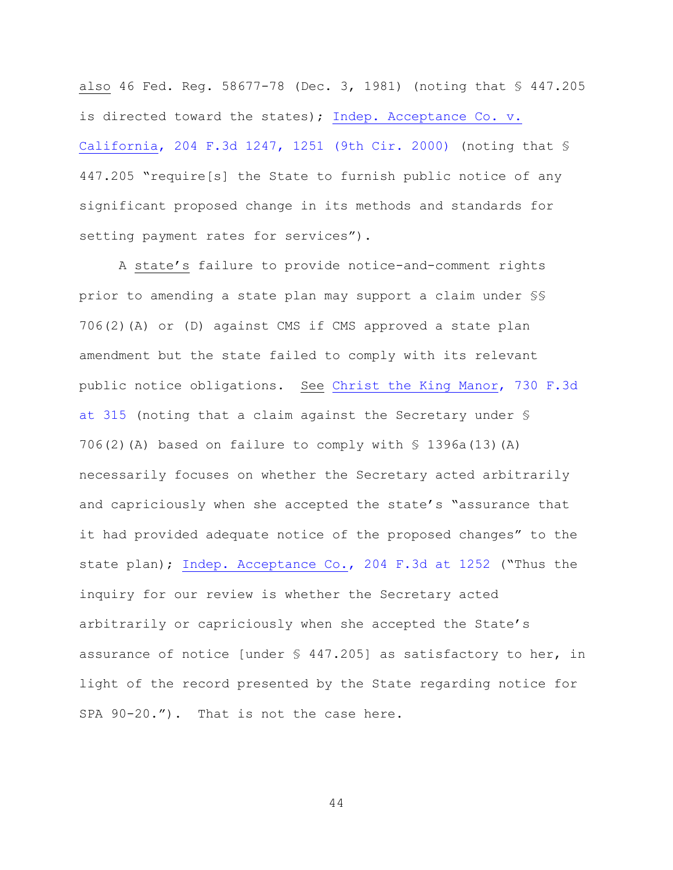also 46 Fed. Reg. 58677-78 (Dec. 3, 1981) (noting that § 447.205 is directed toward the states); [Indep. Acceptance Co. v.](https://www.westlaw.com/Document/Idea169a0795d11d9bf29e2067ad74e5b/View/FullText.html?transitionType=Default&contextData=(sc.Default)&VR=3.0&RS=da3.0&fragmentIdentifier=co_pp_sp_506_1251)  [California, 204 F.3d 1247, 1251 \(9th Cir. 2000\)](https://www.westlaw.com/Document/Idea169a0795d11d9bf29e2067ad74e5b/View/FullText.html?transitionType=Default&contextData=(sc.Default)&VR=3.0&RS=da3.0&fragmentIdentifier=co_pp_sp_506_1251) (noting that § 447.205 "require[s] the State to furnish public notice of any significant proposed change in its methods and standards for setting payment rates for services").

A state's failure to provide notice-and-comment rights prior to amending a state plan may support a claim under §§ 706(2)(A) or (D) against CMS if CMS approved a state plan amendment but the state failed to comply with its relevant public notice obligations. See [Christ the King Manor, 730 F.3d](https://www.westlaw.com/Document/Iee547297213211e380938e6f51729d80/View/FullText.html?transitionType=Default&contextData=(sc.Default)&VR=3.0&RS=da3.0&fragmentIdentifier=co_pp_sp_506_315)  [at 315](https://www.westlaw.com/Document/Iee547297213211e380938e6f51729d80/View/FullText.html?transitionType=Default&contextData=(sc.Default)&VR=3.0&RS=da3.0&fragmentIdentifier=co_pp_sp_506_315) (noting that a claim against the Secretary under § 706(2)(A) based on failure to comply with  $\$$  1396a(13)(A) necessarily focuses on whether the Secretary acted arbitrarily and capriciously when she accepted the state's "assurance that it had provided adequate notice of the proposed changes" to the state plan); [Indep. Acceptance Co., 204 F.3d at 1252](https://www.westlaw.com/Document/Idea169a0795d11d9bf29e2067ad74e5b/View/FullText.html?transitionType=Default&contextData=(sc.Default)&VR=3.0&RS=da3.0&fragmentIdentifier=co_pp_sp_506_1252) ("Thus the inquiry for our review is whether the Secretary acted arbitrarily or capriciously when she accepted the State's assurance of notice [under § 447.205] as satisfactory to her, in light of the record presented by the State regarding notice for SPA 90-20."). That is not the case here.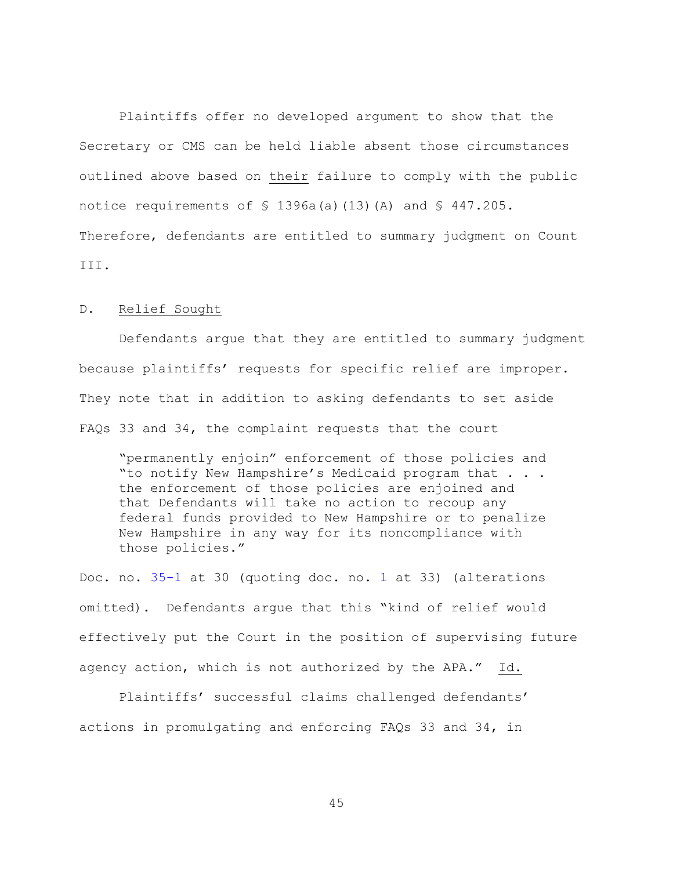Plaintiffs offer no developed argument to show that the Secretary or CMS can be held liable absent those circumstances outlined above based on their failure to comply with the public notice requirements of  $\frac{1396a(a)}{13}$  (A) and  $\frac{1247.205}{a}$ . Therefore, defendants are entitled to summary judgment on Count III.

# D. Relief Sought

Defendants argue that they are entitled to summary judgment because plaintiffs' requests for specific relief are improper. They note that in addition to asking defendants to set aside FAQs 33 and 34, the complaint requests that the court

"permanently enjoin" enforcement of those policies and "to notify New Hampshire's Medicaid program that . . . the enforcement of those policies are enjoined and that Defendants will take no action to recoup any federal funds provided to New Hampshire or to penalize New Hampshire in any way for its noncompliance with those policies."

Doc. no. [35-1](https://ecf.nhd.uscourts.gov/doc1/11711722942) at 30 (quoting doc. no. [1](https://ecf.nhd.uscourts.gov/doc1/11701644823) at 33) (alterations omitted). Defendants argue that this "kind of relief would effectively put the Court in the position of supervising future agency action, which is not authorized by the APA." Id.

Plaintiffs' successful claims challenged defendants' actions in promulgating and enforcing FAQs 33 and 34, in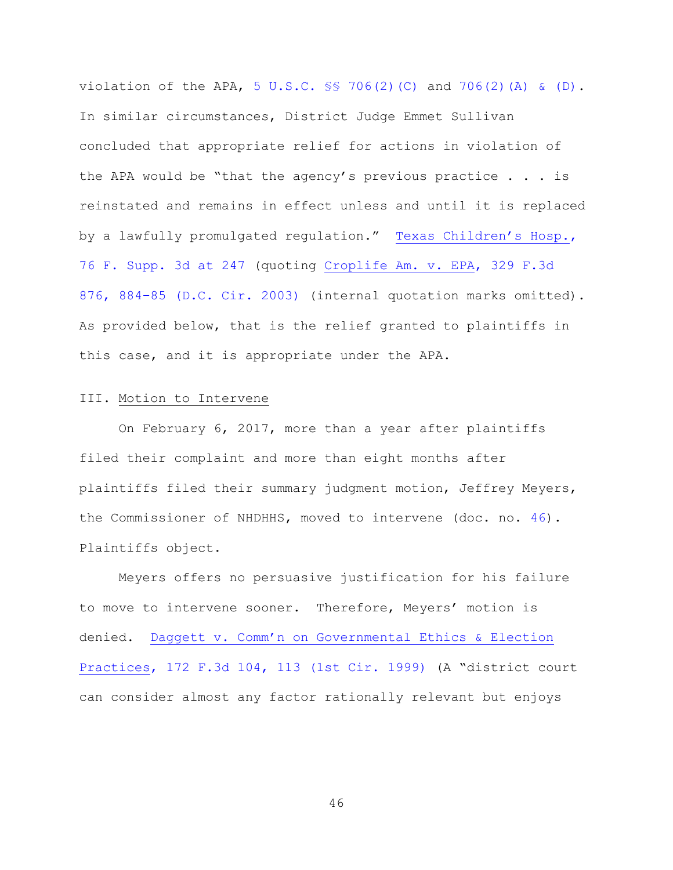violation of the APA, 5 U.S.C.  $\frac{1}{5}$  706(2)(C) and [706\(2\)\(A\) & \(D\).](https://www.westlaw.com/Document/NB66076C0A84311D885E288E02FD16EE7/View/FullText.html?transitionType=Default&contextData=(sc.Default)&VR=3.0&RS=da3.0) In similar circumstances, District Judge Emmet Sullivan concluded that appropriate relief for actions in violation of the APA would be "that the agency's previous practice . . . is reinstated and remains in effect unless and until it is replaced by a lawfully promulgated regulation." [Texas Children's Hosp.](https://www.westlaw.com/Document/I242e7e308fca11e4b603cc772dfc08c3/View/FullText.html?transitionType=Default&contextData=(sc.Default)&VR=3.0&RS=da3.0&fragmentIdentifier=co_pp_sp_7903_247), [76 F. Supp. 3d at 247](https://www.westlaw.com/Document/I242e7e308fca11e4b603cc772dfc08c3/View/FullText.html?transitionType=Default&contextData=(sc.Default)&VR=3.0&RS=da3.0&fragmentIdentifier=co_pp_sp_7903_247) (quoting [Croplife Am. v. EPA, 329 F.3d](https://www.westlaw.com/Document/I53c0009a89dd11d9b6ea9f5a173c4523/View/FullText.html?transitionType=Default&contextData=(sc.Default)&VR=3.0&RS=da3.0&fragmentIdentifier=co_pp_sp_506_884%e2%80%9385)  876, 884–[85 \(D.C. Cir. 2003\)](https://www.westlaw.com/Document/I53c0009a89dd11d9b6ea9f5a173c4523/View/FullText.html?transitionType=Default&contextData=(sc.Default)&VR=3.0&RS=da3.0&fragmentIdentifier=co_pp_sp_506_884%e2%80%9385) (internal quotation marks omitted). As provided below, that is the relief granted to plaintiffs in this case, and it is appropriate under the APA.

# III. Motion to Intervene

On February 6, 2017, more than a year after plaintiffs filed their complaint and more than eight months after plaintiffs filed their summary judgment motion, Jeffrey Meyers, the Commissioner of NHDHHS, moved to intervene (doc. no. [46\)](https://ecf.nhd.uscourts.gov/doc1/11701848526). Plaintiffs object.

Meyers offers no persuasive justification for his failure to move to intervene sooner. Therefore, Meyers' motion is denied. [Daggett v. Comm'n on Governmental Ethics & Election](https://www.westlaw.com/Document/I09c63880948f11d9a707f4371c9c34f0/View/FullText.html?transitionType=Default&contextData=(sc.Default)&VR=3.0&RS=da3.0&fragmentIdentifier=co_pp_sp_506_113)  [Practices, 172 F.3d 104, 113 \(1st Cir. 1999\)](https://www.westlaw.com/Document/I09c63880948f11d9a707f4371c9c34f0/View/FullText.html?transitionType=Default&contextData=(sc.Default)&VR=3.0&RS=da3.0&fragmentIdentifier=co_pp_sp_506_113) (A "district court can consider almost any factor rationally relevant but enjoys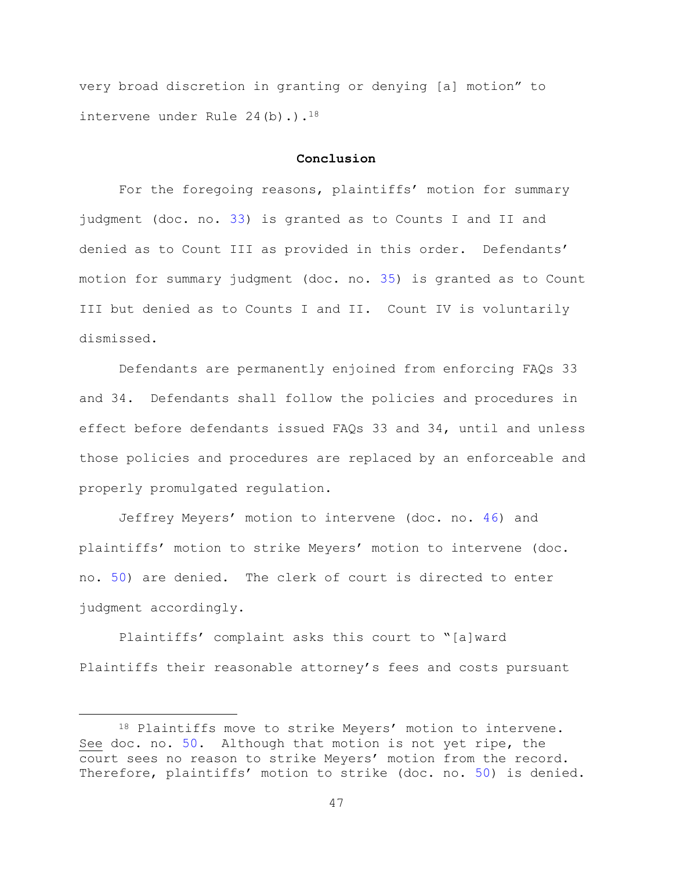very broad discretion in granting or denying [a] motion" to intervene under Rule  $24(b)$ .).<sup>18</sup>

#### **Conclusion**

For the foregoing reasons, plaintiffs' motion for summary judgment (doc. no. [33\)](https://ecf.nhd.uscourts.gov/doc1/11701709680) is granted as to Counts I and II and denied as to Count III as provided in this order. Defendants' motion for summary judgment (doc. no. [35\)](https://ecf.nhd.uscourts.gov/doc1/11701722941) is granted as to Count III but denied as to Counts I and II. Count IV is voluntarily dismissed.

Defendants are permanently enjoined from enforcing FAQs 33 and 34. Defendants shall follow the policies and procedures in effect before defendants issued FAQs 33 and 34, until and unless those policies and procedures are replaced by an enforceable and properly promulgated regulation.

Jeffrey Meyers' motion to intervene (doc. no. [46\)](https://ecf.nhd.uscourts.gov/doc1/11701848526) and plaintiffs' motion to strike Meyers' motion to intervene (doc. no. [50\)](https://ecf.nhd.uscourts.gov/doc1/11711854642) are denied. The clerk of court is directed to enter judgment accordingly.

Plaintiffs' complaint asks this court to "[a]ward Plaintiffs their reasonable attorney's fees and costs pursuant

<sup>18</sup> Plaintiffs move to strike Meyers' motion to intervene. See doc. no. [50.](https://ecf.nhd.uscourts.gov/doc1/11711854642) Although that motion is not yet ripe, the court sees no reason to strike Meyers' motion from the record. Therefore, plaintiffs' motion to strike (doc. no. [50\)](https://ecf.nhd.uscourts.gov/doc1/11711854642) is denied.